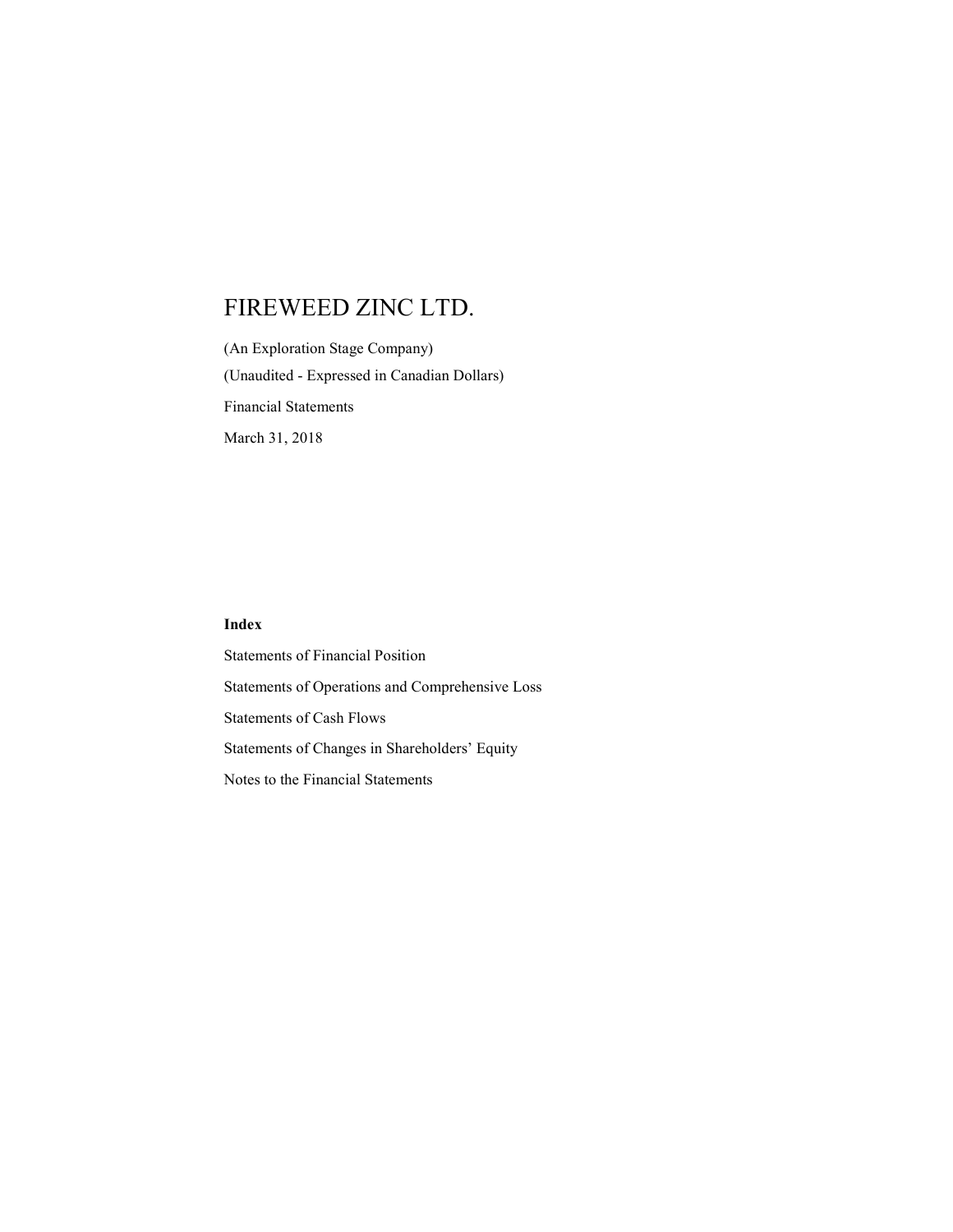(An Exploration Stage Company) (Unaudited - Expressed in Canadian Dollars) Financial Statements March 31, 2018

## Index

Statements of Financial Position Statements of Operations and Comprehensive Loss Statements of Cash Flows Statements of Changes in Shareholders' Equity Notes to the Financial Statements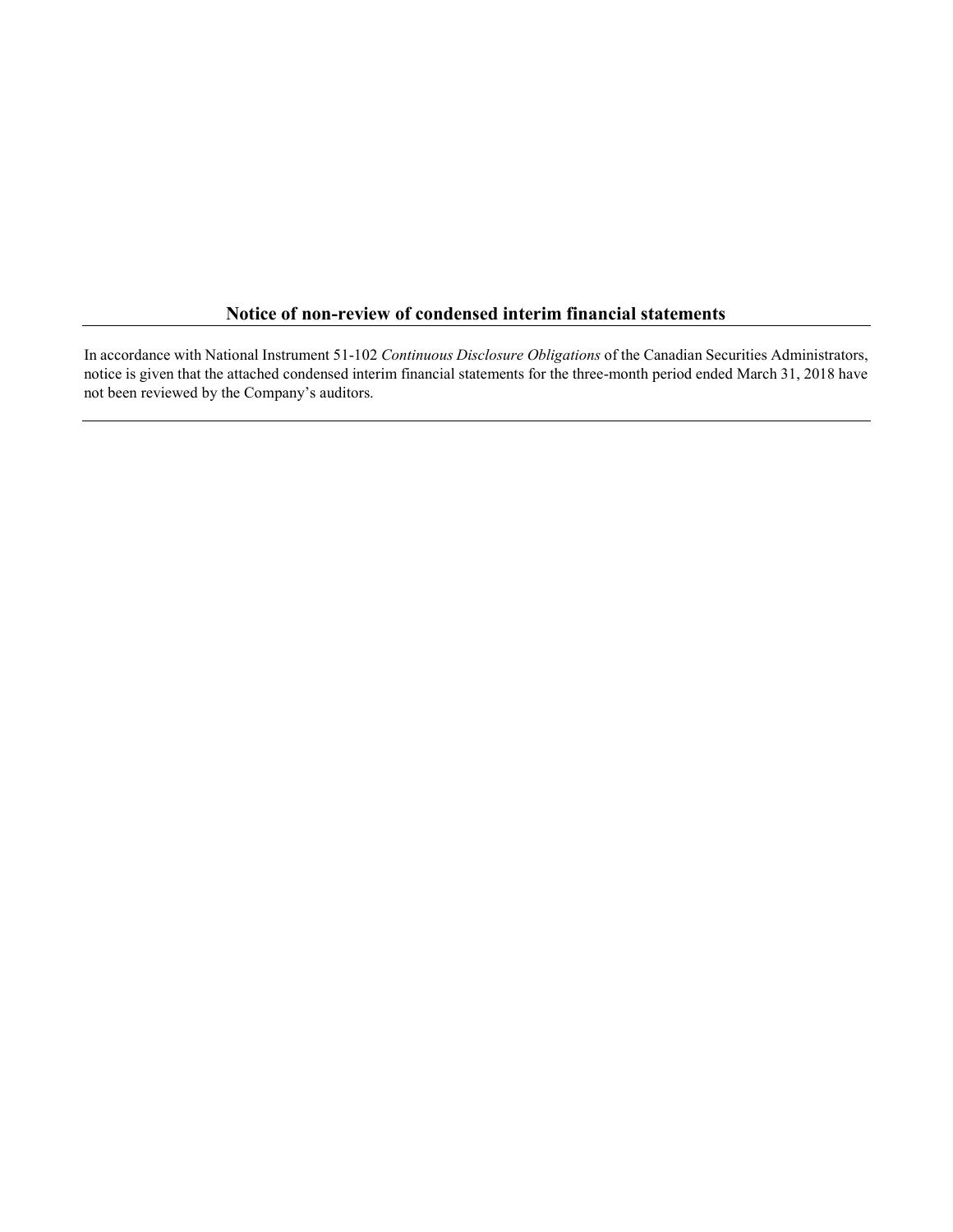## Notice of non-review of condensed interim financial statements

In accordance with National Instrument 51-102 Continuous Disclosure Obligations of the Canadian Securities Administrators, notice is given that the attached condensed interim financial statements for the three-month period ended March 31, 2018 have not been reviewed by the Company's auditors.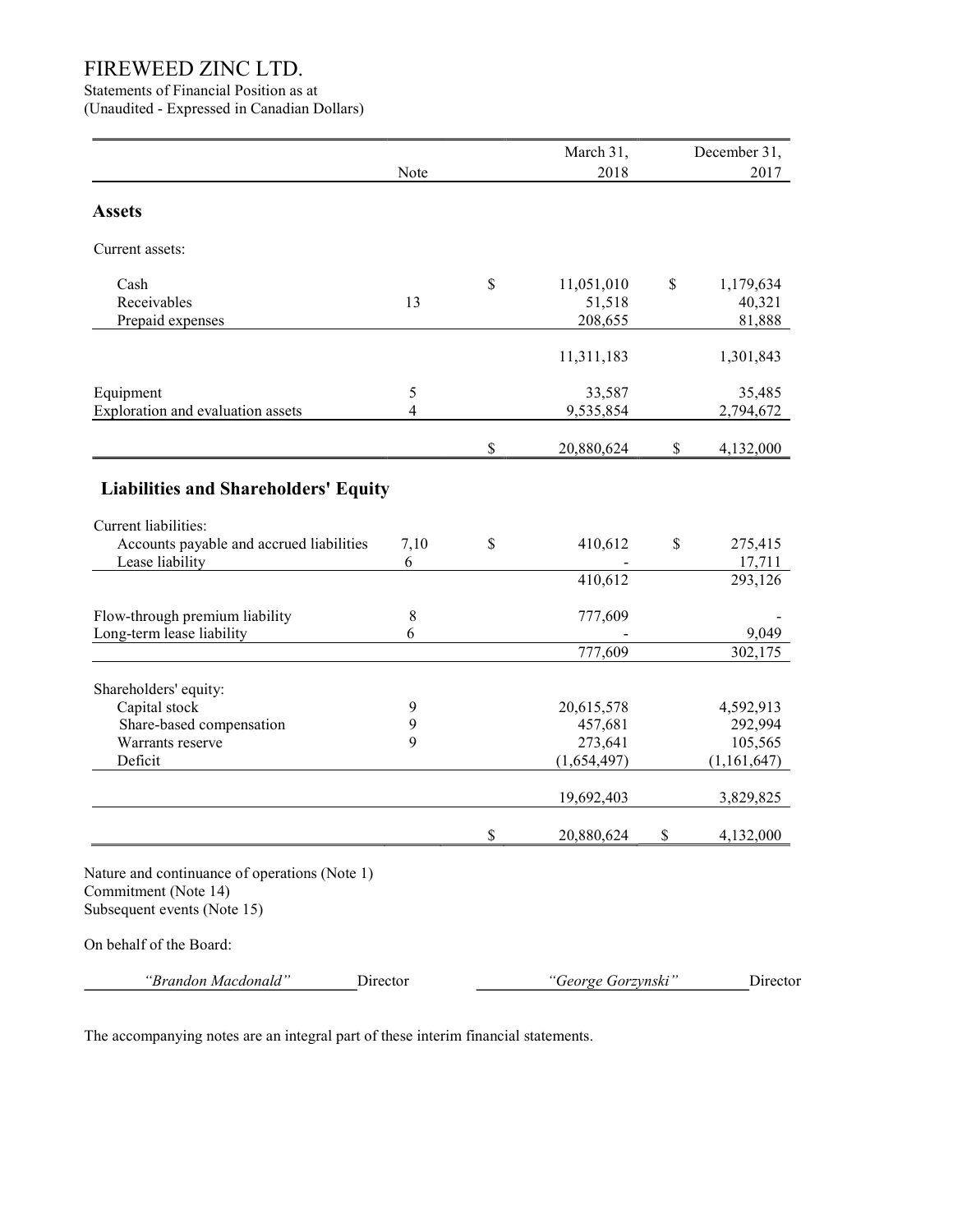Statements of Financial Position as at

(Unaudited - Expressed in Canadian Dollars)

|                                                                                                      |                | March 31,          | December 31,    |
|------------------------------------------------------------------------------------------------------|----------------|--------------------|-----------------|
|                                                                                                      | Note           | 2018               | 2017            |
|                                                                                                      |                |                    |                 |
| <b>Assets</b>                                                                                        |                |                    |                 |
| Current assets:                                                                                      |                |                    |                 |
| Cash                                                                                                 |                | \$<br>11,051,010   | \$<br>1,179,634 |
| Receivables                                                                                          | 13             | 51,518             | 40,321          |
| Prepaid expenses                                                                                     |                | 208,655            | 81,888          |
|                                                                                                      |                | 11,311,183         | 1,301,843       |
| Equipment                                                                                            | 5              | 33,587             | 35,485          |
| Exploration and evaluation assets                                                                    | $\overline{4}$ | 9,535,854          | 2,794,672       |
|                                                                                                      |                |                    |                 |
|                                                                                                      |                | \$<br>20,880,624   | \$<br>4,132,000 |
| <b>Liabilities and Shareholders' Equity</b>                                                          |                |                    |                 |
| Current liabilities:                                                                                 |                |                    |                 |
| Accounts payable and accrued liabilities                                                             | 7,10           | \$<br>410,612      | \$<br>275,415   |
| Lease liability                                                                                      | 6              |                    | 17,711          |
|                                                                                                      |                | 410,612            | 293,126         |
| Flow-through premium liability                                                                       | $8\,$          | 777,609            |                 |
| Long-term lease liability                                                                            | 6              |                    | 9,049           |
|                                                                                                      |                | 777,609            | 302,175         |
| Shareholders' equity:                                                                                |                |                    |                 |
| Capital stock                                                                                        | 9              | 20,615,578         | 4,592,913       |
| Share-based compensation                                                                             | 9              | 457,681            | 292,994         |
| Warrants reserve                                                                                     | 9              | 273,641            | 105,565         |
| Deficit                                                                                              |                | (1,654,497)        | (1,161,647)     |
|                                                                                                      |                | 19,692,403         | 3,829,825       |
|                                                                                                      |                | \$<br>20,880,624   | \$<br>4,132,000 |
| Nature and continuance of operations (Note 1)<br>Commitment (Note 14)<br>Subsequent events (Note 15) |                |                    |                 |
| On behalf of the Board:                                                                              |                |                    |                 |
| "Brandon Macdonald"                                                                                  | Director       | "George Gorzynski" | Director        |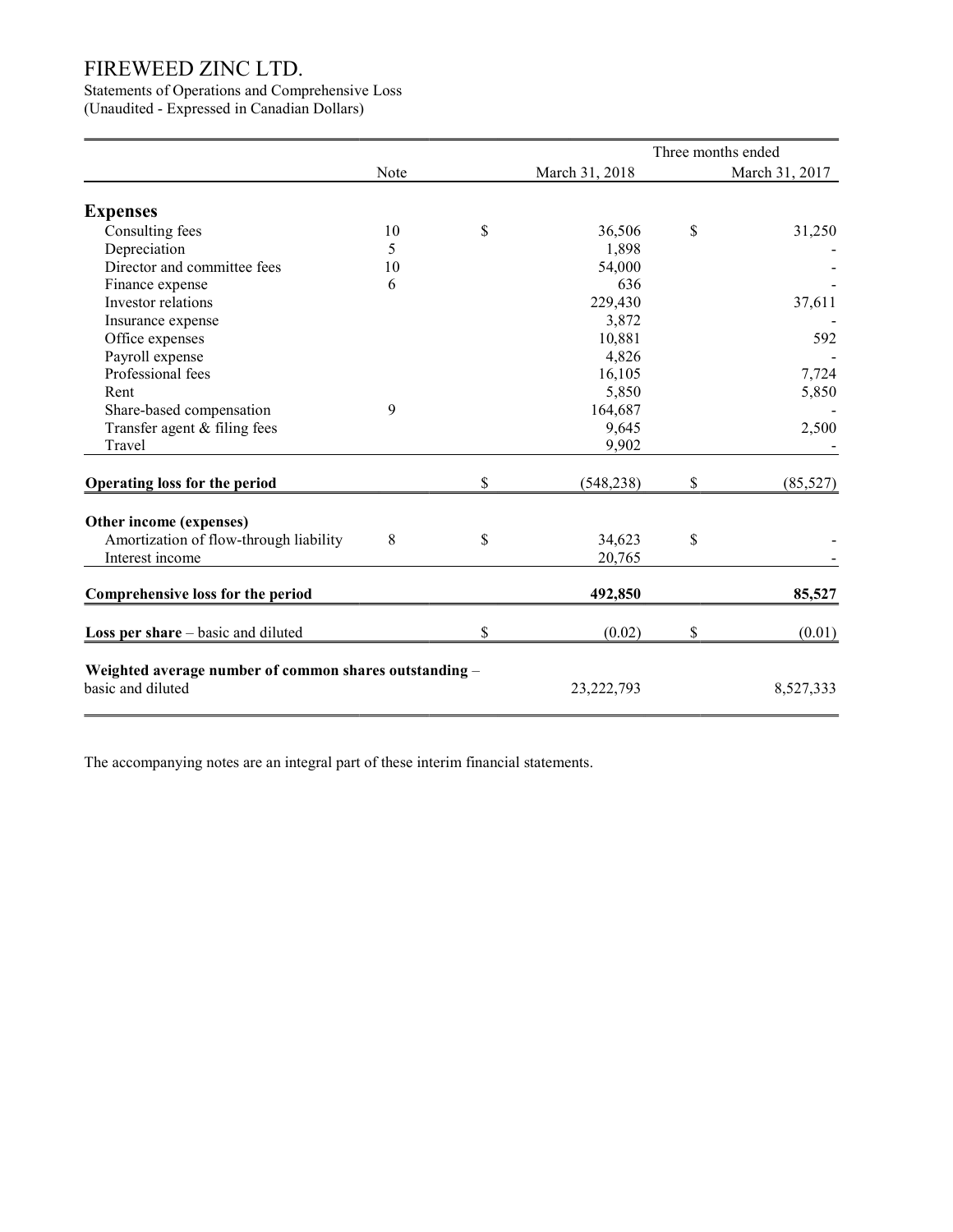## Statements of Operations and Comprehensive Loss

(Unaudited - Expressed in Canadian Dollars)

|                                                        |      |                  | Three months ended |
|--------------------------------------------------------|------|------------------|--------------------|
|                                                        | Note | March 31, 2018   | March 31, 2017     |
| <b>Expenses</b>                                        |      |                  |                    |
| Consulting fees                                        | 10   | \$<br>36,506     | \$<br>31,250       |
| Depreciation                                           | 5    | 1,898            |                    |
| Director and committee fees                            | 10   | 54,000           |                    |
| Finance expense                                        | 6    | 636              |                    |
| Investor relations                                     |      | 229,430          | 37,611             |
| Insurance expense                                      |      | 3,872            |                    |
| Office expenses                                        |      | 10,881           | 592                |
| Payroll expense                                        |      | 4,826            |                    |
| Professional fees                                      |      | 16,105           | 7,724              |
| Rent                                                   |      | 5,850            | 5,850              |
| Share-based compensation                               | 9    | 164,687          |                    |
| Transfer agent & filing fees                           |      | 9,645            | 2,500              |
| Travel                                                 |      | 9,902            |                    |
| Operating loss for the period                          |      | \$<br>(548, 238) | \$<br>(85, 527)    |
| Other income (expenses)                                |      |                  |                    |
| Amortization of flow-through liability                 | 8    | \$<br>34,623     | \$                 |
| Interest income                                        |      | 20,765           |                    |
| Comprehensive loss for the period                      |      | 492,850          | 85,527             |
|                                                        |      |                  |                    |
| <b>Loss per share</b> $-$ basic and diluted            |      | \$<br>(0.02)     | \$<br>(0.01)       |
| Weighted average number of common shares outstanding - |      |                  |                    |
| basic and diluted                                      |      | 23, 222, 793     | 8,527,333          |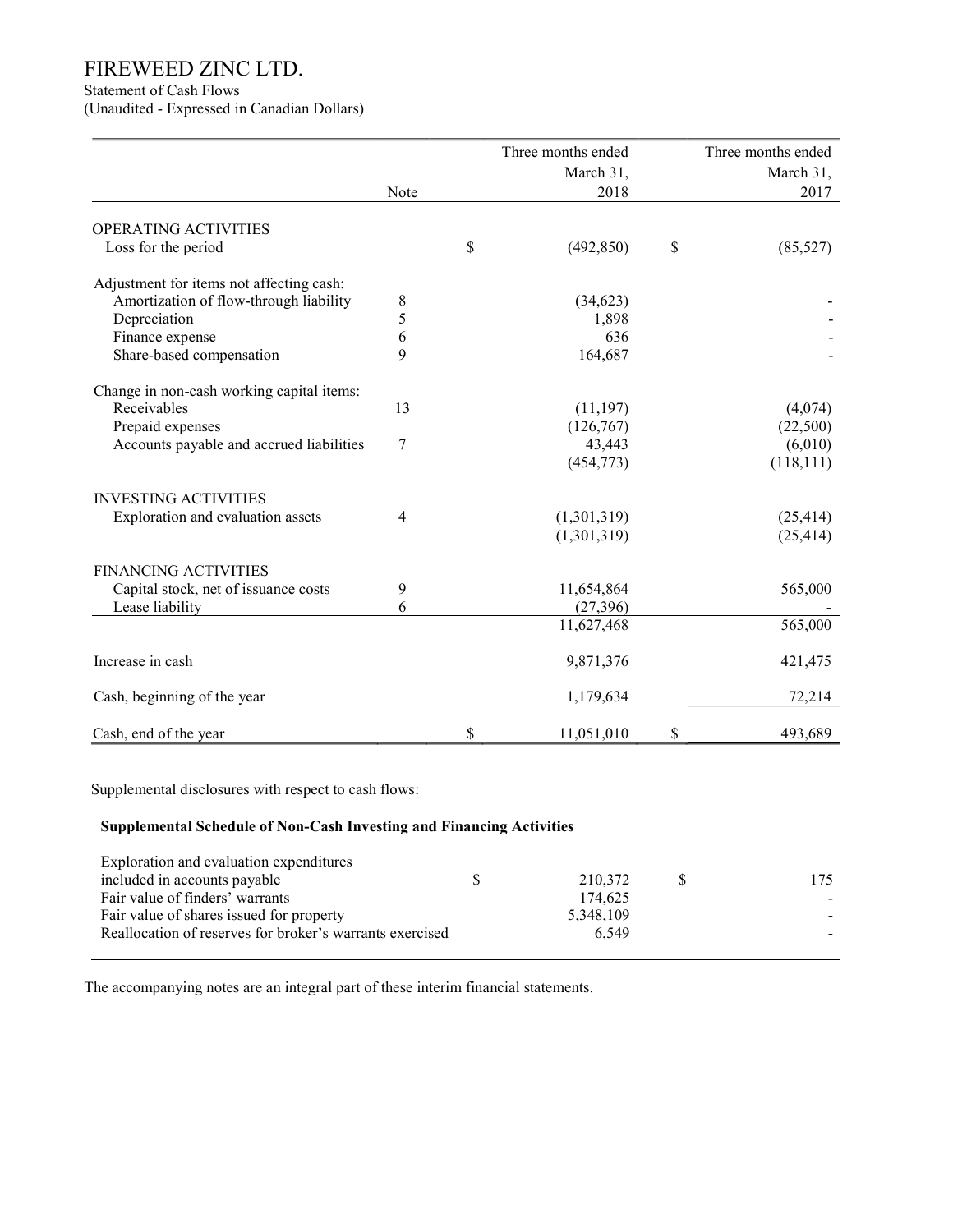Statement of Cash Flows

(Unaudited - Expressed in Canadian Dollars)

|                                           |                | Three months ended | Three months ended |
|-------------------------------------------|----------------|--------------------|--------------------|
|                                           |                | March 31,          | March 31,          |
|                                           | Note           | 2018               | 2017               |
| OPERATING ACTIVITIES                      |                |                    |                    |
| Loss for the period                       |                | \$<br>(492, 850)   | \$<br>(85, 527)    |
| Adjustment for items not affecting cash:  |                |                    |                    |
| Amortization of flow-through liability    | 8              | (34, 623)          |                    |
| Depreciation                              | 5              | 1,898              |                    |
| Finance expense                           | 6              | 636                |                    |
| Share-based compensation                  | 9              | 164,687            |                    |
| Change in non-cash working capital items: |                |                    |                    |
| Receivables                               | 13             | (11, 197)          | (4,074)            |
| Prepaid expenses                          |                | (126,767)          | (22,500)           |
| Accounts payable and accrued liabilities  | $\sqrt{ }$     | 43,443             | (6,010)            |
|                                           |                | (454, 773)         | (118, 111)         |
| <b>INVESTING ACTIVITIES</b>               |                |                    |                    |
| Exploration and evaluation assets         | $\overline{4}$ | (1,301,319)        | (25, 414)          |
|                                           |                | (1,301,319)        | (25, 414)          |
| <b>FINANCING ACTIVITIES</b>               |                |                    |                    |
| Capital stock, net of issuance costs      | 9              | 11,654,864         | 565,000            |
| Lease liability                           | 6              | (27, 396)          |                    |
|                                           |                | 11,627,468         | 565,000            |
| Increase in cash                          |                | 9,871,376          | 421,475            |
| Cash, beginning of the year               |                | 1,179,634          | 72,214             |
| Cash, end of the year                     |                | \$<br>11,051,010   | \$<br>493,689      |

Supplemental disclosures with respect to cash flows:

## Supplemental Schedule of Non-Cash Investing and Financing Activities

| Exploration and evaluation expenditures                  |   |           |      |
|----------------------------------------------------------|---|-----------|------|
| included in accounts payable                             | S | 210.372   | 175. |
| Fair value of finders' warrants                          |   | 174.625   |      |
| Fair value of shares issued for property                 |   | 5,348,109 |      |
| Reallocation of reserves for broker's warrants exercised |   | 6.549     |      |
|                                                          |   |           |      |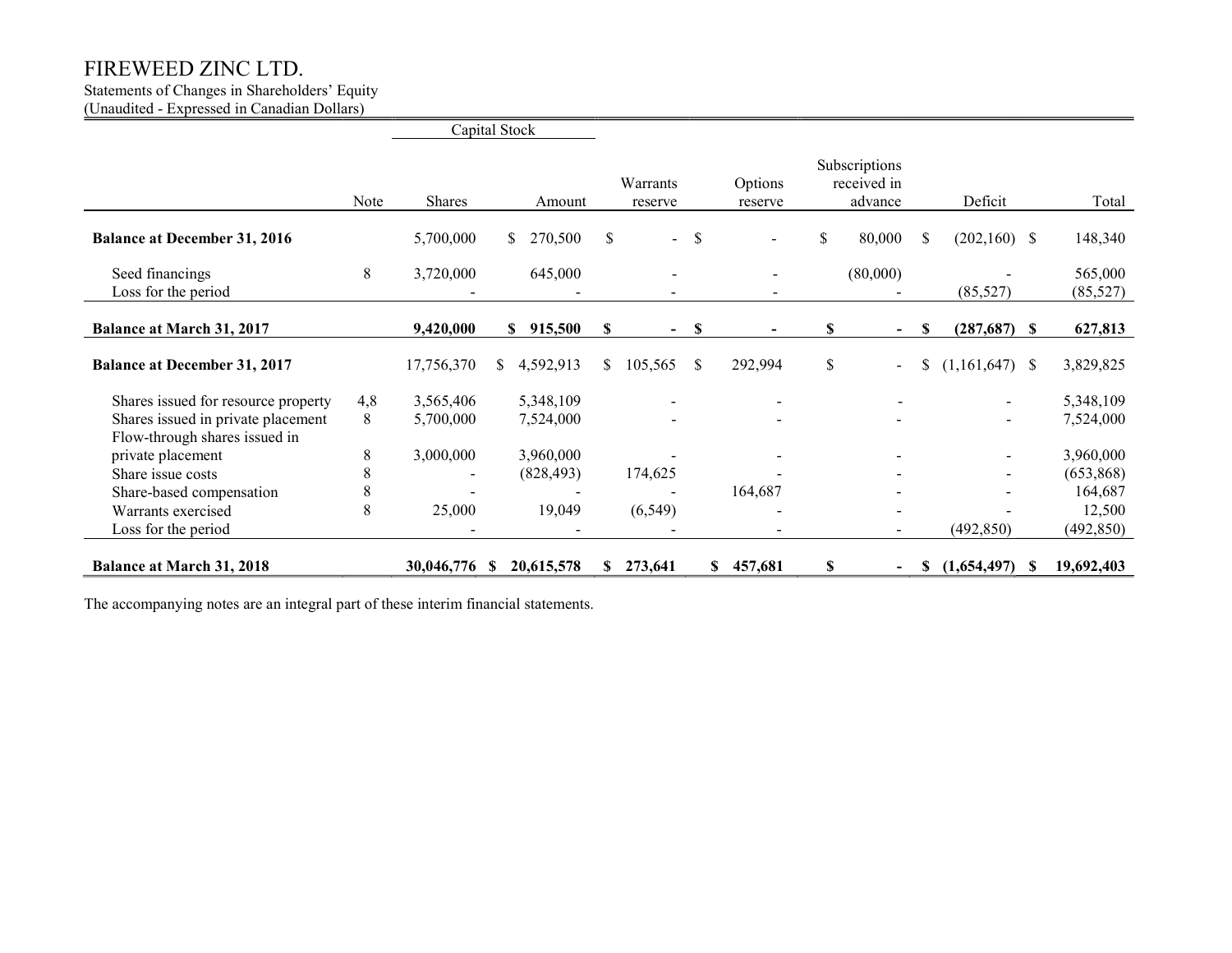## Statements of Changes in Shareholders' Equity

(Unaudited - Expressed in Canadian Dollars)

|                                        |      | Capital Stock |     |               |    |                     |               |                          |    |                                         |    |                  |                      |
|----------------------------------------|------|---------------|-----|---------------|----|---------------------|---------------|--------------------------|----|-----------------------------------------|----|------------------|----------------------|
|                                        | Note | Shares        |     | Amount        |    | Warrants<br>reserve |               | Options<br>reserve       |    | Subscriptions<br>received in<br>advance |    | Deficit          | Total                |
| <b>Balance at December 31, 2016</b>    |      | 5,700,000     |     | 270,500<br>S. | \$ | $\sim$              | \$            |                          | \$ | 80,000                                  | S. | $(202,160)$ \$   | 148,340              |
| Seed financings<br>Loss for the period | 8    | 3,720,000     |     | 645,000       |    |                     |               | $\overline{\phantom{a}}$ |    | (80,000)                                |    | (85, 527)        | 565,000<br>(85, 527) |
| <b>Balance at March 31, 2017</b>       |      | 9,420,000     |     | \$915,500     | \$ | $\blacksquare$      | $\mathbf{\$}$ |                          | \$ | $\blacksquare$                          | \$ | $(287,687)$ \$   | 627,813              |
| <b>Balance at December 31, 2017</b>    |      | 17,756,370    | S.  | 4,592,913     | \$ | 105,565             | <sup>\$</sup> | 292,994                  | \$ |                                         | \$ | $(1,161,647)$ \$ | 3,829,825            |
| Shares issued for resource property    | 4,8  | 3,565,406     |     | 5,348,109     |    |                     |               |                          |    |                                         |    | $\blacksquare$   | 5,348,109            |
| Shares issued in private placement     | 8    | 5,700,000     |     | 7,524,000     |    |                     |               | $\overline{\phantom{0}}$ |    |                                         |    | $\sim$           | 7,524,000            |
| Flow-through shares issued in          |      |               |     |               |    |                     |               |                          |    |                                         |    |                  |                      |
| private placement                      | 8    | 3,000,000     |     | 3,960,000     |    |                     |               |                          |    |                                         |    |                  | 3,960,000            |
| Share issue costs                      | 8    |               |     | (828, 493)    |    | 174,625             |               |                          |    |                                         |    |                  | (653,868)            |
| Share-based compensation               | 8    |               |     |               |    |                     |               | 164,687                  |    |                                         |    |                  | 164,687              |
| Warrants exercised                     | 8    | 25,000        |     | 19,049        |    | (6, 549)            |               |                          |    |                                         |    |                  | 12,500               |
| Loss for the period                    |      |               |     |               |    |                     |               |                          |    |                                         |    | (492, 850)       | (492, 850)           |
| <b>Balance at March 31, 2018</b>       |      | 30,046,776    | -SS | 20,615,578    | S. | 273,641             |               | 457,681<br>SS.           | S  |                                         | S  | $(1,654,497)$ \$ | 19,692,403           |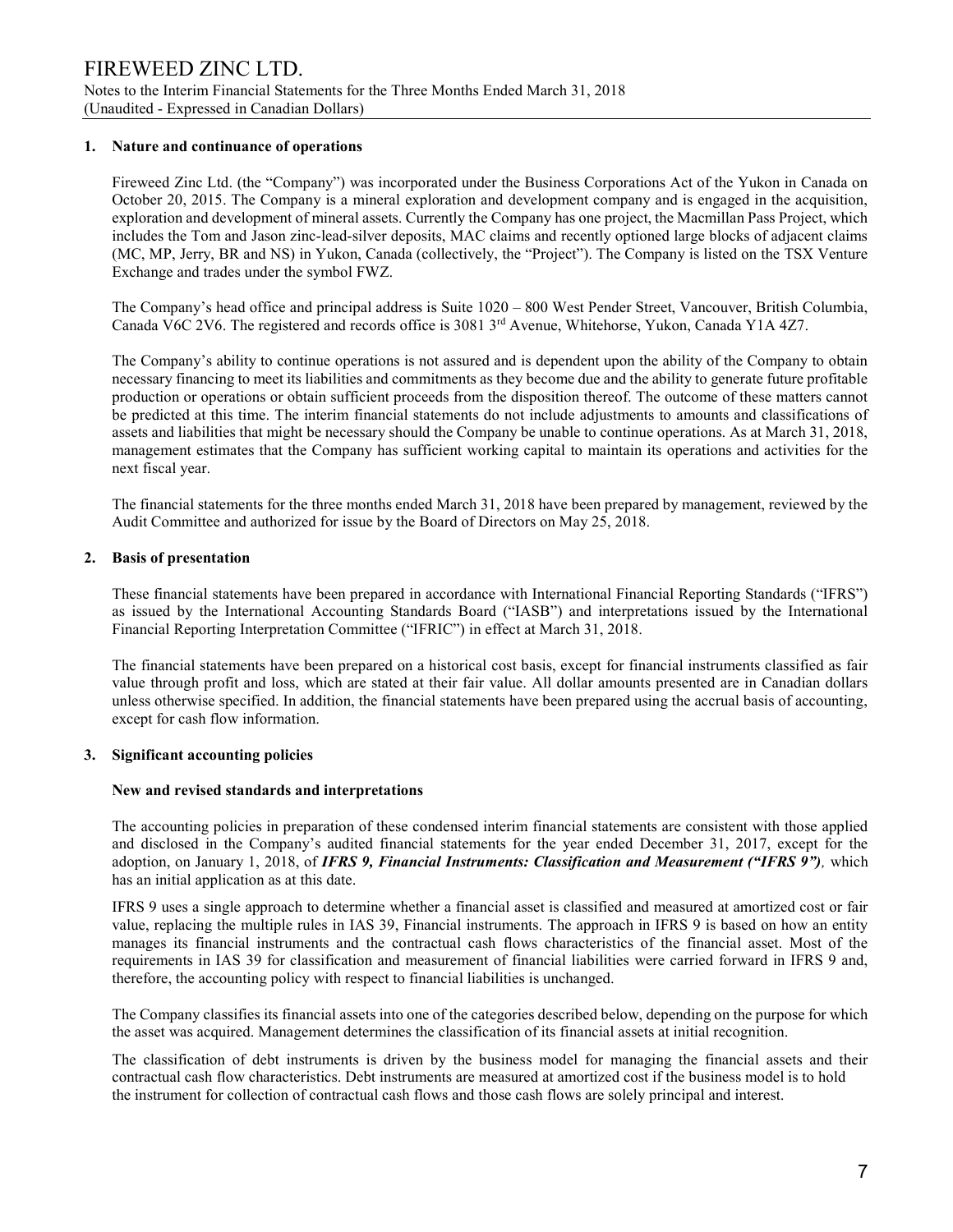#### 1. Nature and continuance of operations

Fireweed Zinc Ltd. (the "Company") was incorporated under the Business Corporations Act of the Yukon in Canada on October 20, 2015. The Company is a mineral exploration and development company and is engaged in the acquisition, exploration and development of mineral assets. Currently the Company has one project, the Macmillan Pass Project, which includes the Tom and Jason zinc-lead-silver deposits, MAC claims and recently optioned large blocks of adjacent claims (MC, MP, Jerry, BR and NS) in Yukon, Canada (collectively, the "Project"). The Company is listed on the TSX Venture Exchange and trades under the symbol FWZ.

The Company's head office and principal address is Suite 1020 – 800 West Pender Street, Vancouver, British Columbia, Canada V6C 2V6. The registered and records office is 3081 3<sup>rd</sup> Avenue, Whitehorse, Yukon, Canada Y1A 4Z7.

The Company's ability to continue operations is not assured and is dependent upon the ability of the Company to obtain necessary financing to meet its liabilities and commitments as they become due and the ability to generate future profitable production or operations or obtain sufficient proceeds from the disposition thereof. The outcome of these matters cannot be predicted at this time. The interim financial statements do not include adjustments to amounts and classifications of assets and liabilities that might be necessary should the Company be unable to continue operations. As at March 31, 2018, management estimates that the Company has sufficient working capital to maintain its operations and activities for the next fiscal year.

The financial statements for the three months ended March 31, 2018 have been prepared by management, reviewed by the Audit Committee and authorized for issue by the Board of Directors on May 25, 2018.

#### 2. Basis of presentation

These financial statements have been prepared in accordance with International Financial Reporting Standards ("IFRS") as issued by the International Accounting Standards Board ("IASB") and interpretations issued by the International Financial Reporting Interpretation Committee ("IFRIC") in effect at March 31, 2018.

The financial statements have been prepared on a historical cost basis, except for financial instruments classified as fair value through profit and loss, which are stated at their fair value. All dollar amounts presented are in Canadian dollars unless otherwise specified. In addition, the financial statements have been prepared using the accrual basis of accounting, except for cash flow information.

#### 3. Significant accounting policies

#### New and revised standards and interpretations

The accounting policies in preparation of these condensed interim financial statements are consistent with those applied and disclosed in the Company's audited financial statements for the year ended December 31, 2017, except for the adoption, on January 1, 2018, of IFRS 9, Financial Instruments: Classification and Measurement ("IFRS 9"), which has an initial application as at this date.

IFRS 9 uses a single approach to determine whether a financial asset is classified and measured at amortized cost or fair value, replacing the multiple rules in IAS 39, Financial instruments. The approach in IFRS 9 is based on how an entity manages its financial instruments and the contractual cash flows characteristics of the financial asset. Most of the requirements in IAS 39 for classification and measurement of financial liabilities were carried forward in IFRS 9 and, therefore, the accounting policy with respect to financial liabilities is unchanged.

The Company classifies its financial assets into one of the categories described below, depending on the purpose for which the asset was acquired. Management determines the classification of its financial assets at initial recognition.

The classification of debt instruments is driven by the business model for managing the financial assets and their contractual cash flow characteristics. Debt instruments are measured at amortized cost if the business model is to hold the instrument for collection of contractual cash flows and those cash flows are solely principal and interest.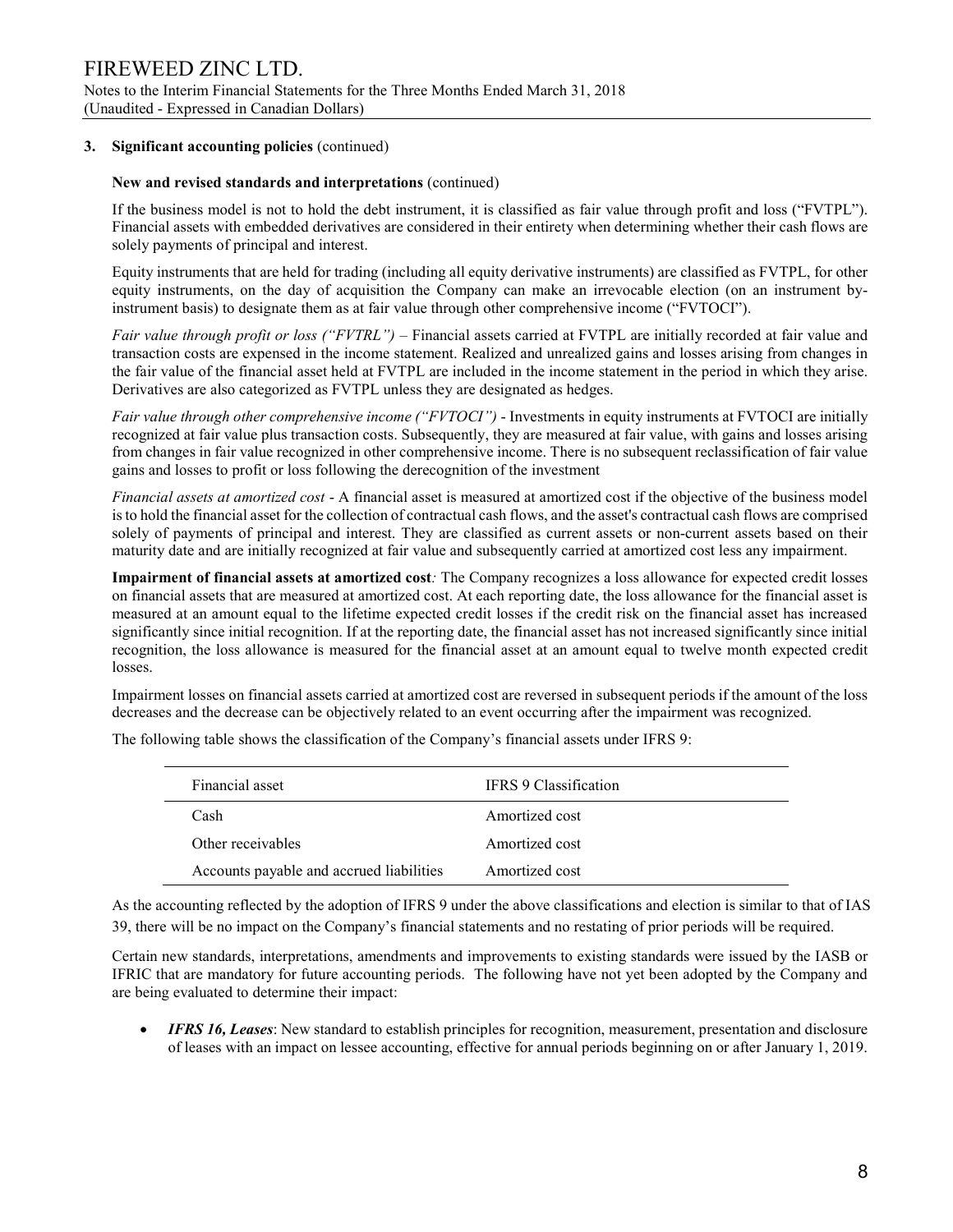## FIREWEED ZINC LTD. Notes to the Interim Financial Statements for the Three Months Ended March 31, 2018 (Unaudited - Expressed in Canadian Dollars)

### 3. Significant accounting policies (continued)

#### New and revised standards and interpretations (continued)

If the business model is not to hold the debt instrument, it is classified as fair value through profit and loss ("FVTPL"). Financial assets with embedded derivatives are considered in their entirety when determining whether their cash flows are solely payments of principal and interest.

Equity instruments that are held for trading (including all equity derivative instruments) are classified as FVTPL, for other equity instruments, on the day of acquisition the Company can make an irrevocable election (on an instrument byinstrument basis) to designate them as at fair value through other comprehensive income ("FVTOCI").

Fair value through profit or loss ("FVTRL") – Financial assets carried at FVTPL are initially recorded at fair value and transaction costs are expensed in the income statement. Realized and unrealized gains and losses arising from changes in the fair value of the financial asset held at FVTPL are included in the income statement in the period in which they arise. Derivatives are also categorized as FVTPL unless they are designated as hedges.

Fair value through other comprehensive income ("FVTOCI") - Investments in equity instruments at FVTOCI are initially recognized at fair value plus transaction costs. Subsequently, they are measured at fair value, with gains and losses arising from changes in fair value recognized in other comprehensive income. There is no subsequent reclassification of fair value gains and losses to profit or loss following the derecognition of the investment

Financial assets at amortized cost - A financial asset is measured at amortized cost if the objective of the business model is to hold the financial asset for the collection of contractual cash flows, and the asset's contractual cash flows are comprised solely of payments of principal and interest. They are classified as current assets or non-current assets based on their maturity date and are initially recognized at fair value and subsequently carried at amortized cost less any impairment.

Impairment of financial assets at amortized cost: The Company recognizes a loss allowance for expected credit losses on financial assets that are measured at amortized cost. At each reporting date, the loss allowance for the financial asset is measured at an amount equal to the lifetime expected credit losses if the credit risk on the financial asset has increased significantly since initial recognition. If at the reporting date, the financial asset has not increased significantly since initial recognition, the loss allowance is measured for the financial asset at an amount equal to twelve month expected credit losses.

Impairment losses on financial assets carried at amortized cost are reversed in subsequent periods if the amount of the loss decreases and the decrease can be objectively related to an event occurring after the impairment was recognized.

Financial asset **IFRS** 9 Classification Cash Amortized cost Other receivables **Amortized** cost Accounts payable and accrued liabilities Amortized cost

The following table shows the classification of the Company's financial assets under IFRS 9:

As the accounting reflected by the adoption of IFRS 9 under the above classifications and election is similar to that of IAS 39, there will be no impact on the Company's financial statements and no restating of prior periods will be required.

Certain new standards, interpretations, amendments and improvements to existing standards were issued by the IASB or IFRIC that are mandatory for future accounting periods. The following have not yet been adopted by the Company and are being evaluated to determine their impact:

 IFRS 16, Leases: New standard to establish principles for recognition, measurement, presentation and disclosure of leases with an impact on lessee accounting, effective for annual periods beginning on or after January 1, 2019.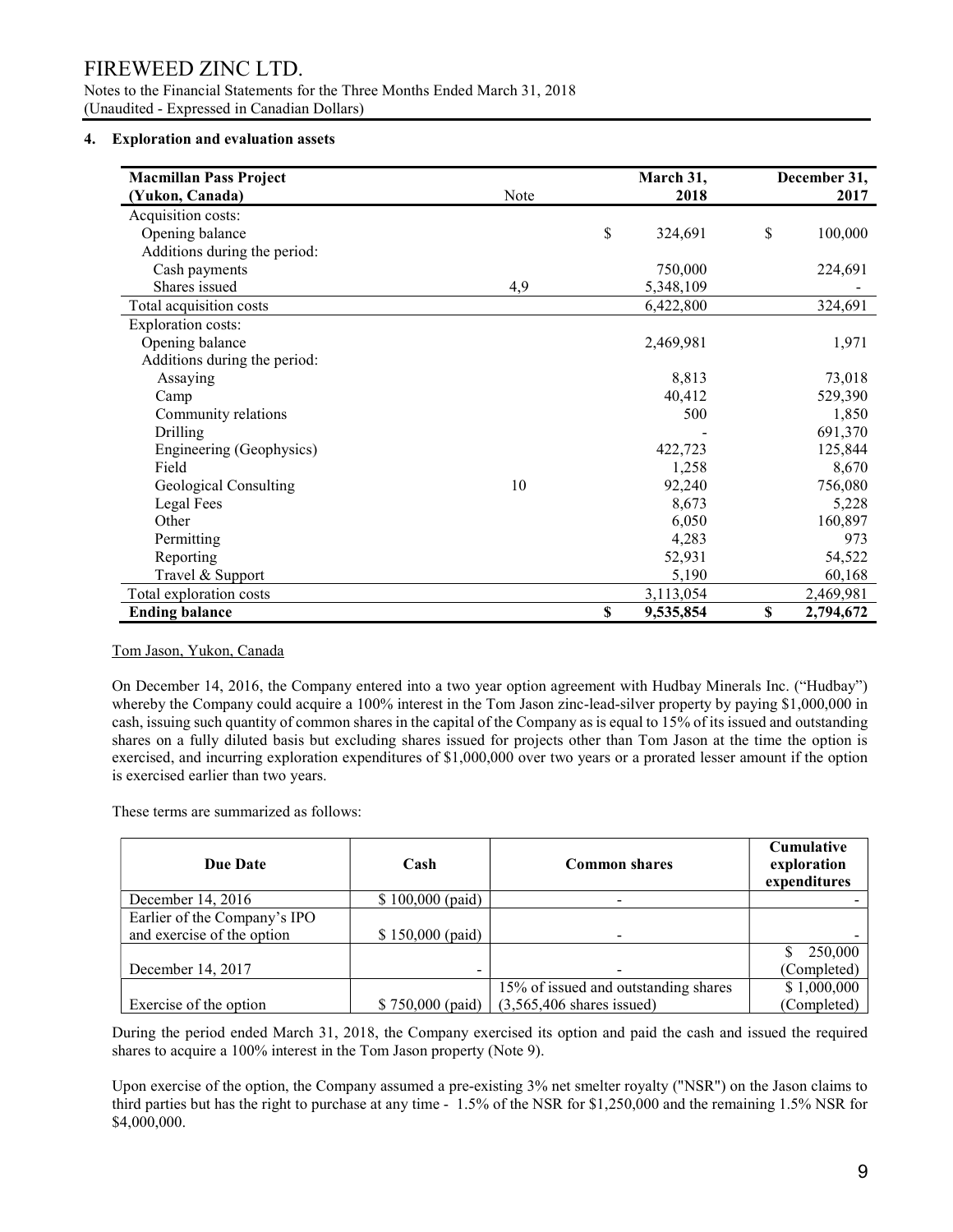Notes to the Financial Statements for the Three Months Ended March 31, 2018 (Unaudited - Expressed in Canadian Dollars)

#### 4. Exploration and evaluation assets

| <b>Macmillan Pass Project</b> |      |             | March 31, | December 31, |           |  |
|-------------------------------|------|-------------|-----------|--------------|-----------|--|
| (Yukon, Canada)               | Note |             | 2018      |              | 2017      |  |
| Acquisition costs:            |      |             |           |              |           |  |
| Opening balance               |      | $\mathbb S$ | 324,691   | \$           | 100,000   |  |
| Additions during the period:  |      |             |           |              |           |  |
| Cash payments                 |      |             | 750,000   |              | 224,691   |  |
| Shares issued                 | 4,9  |             | 5,348,109 |              |           |  |
| Total acquisition costs       |      |             | 6,422,800 |              | 324,691   |  |
| <b>Exploration costs:</b>     |      |             |           |              |           |  |
| Opening balance               |      |             | 2,469,981 |              | 1,971     |  |
| Additions during the period:  |      |             |           |              |           |  |
| Assaying                      |      |             | 8,813     |              | 73,018    |  |
| Camp                          |      |             | 40,412    |              | 529,390   |  |
| Community relations           |      |             | 500       |              | 1,850     |  |
| Drilling                      |      |             |           |              | 691,370   |  |
| Engineering (Geophysics)      |      |             | 422,723   |              | 125,844   |  |
| Field                         |      |             | 1,258     |              | 8,670     |  |
| Geological Consulting         | 10   |             | 92,240    |              | 756,080   |  |
| Legal Fees                    |      |             | 8,673     |              | 5,228     |  |
| Other                         |      |             | 6,050     |              | 160,897   |  |
| Permitting                    |      |             | 4,283     |              | 973       |  |
| Reporting                     |      |             | 52,931    |              | 54,522    |  |
| Travel & Support              |      |             | 5,190     |              | 60,168    |  |
| Total exploration costs       |      |             | 3,113,054 |              | 2,469,981 |  |
| <b>Ending balance</b>         |      | \$          | 9,535,854 | \$           | 2,794,672 |  |

### Tom Jason, Yukon, Canada

On December 14, 2016, the Company entered into a two year option agreement with Hudbay Minerals Inc. ("Hudbay") whereby the Company could acquire a 100% interest in the Tom Jason zinc-lead-silver property by paying \$1,000,000 in cash, issuing such quantity of common shares in the capital of the Company as is equal to 15% of its issued and outstanding shares on a fully diluted basis but excluding shares issued for projects other than Tom Jason at the time the option is exercised, and incurring exploration expenditures of \$1,000,000 over two years or a prorated lesser amount if the option is exercised earlier than two years.

These terms are summarized as follows:

| <b>Due Date</b>              | Cash              | <b>Common shares</b>                 | <b>Cumulative</b><br>exploration<br>expenditures |
|------------------------------|-------------------|--------------------------------------|--------------------------------------------------|
| December 14, 2016            | $$100,000$ (paid) |                                      |                                                  |
| Earlier of the Company's IPO |                   |                                      |                                                  |
| and exercise of the option   | $$150,000$ (paid) |                                      |                                                  |
|                              |                   |                                      | 250,000                                          |
| December 14, 2017            | -                 |                                      | (Completed)                                      |
|                              |                   | 15% of issued and outstanding shares | \$1,000,000                                      |
| Exercise of the option       | $$750,000$ (paid) | $(3,565,406$ shares issued)          | (Completed)                                      |

During the period ended March 31, 2018, the Company exercised its option and paid the cash and issued the required shares to acquire a 100% interest in the Tom Jason property (Note 9).

Upon exercise of the option, the Company assumed a pre-existing 3% net smelter royalty ("NSR") on the Jason claims to third parties but has the right to purchase at any time - 1.5% of the NSR for \$1,250,000 and the remaining 1.5% NSR for \$4,000,000.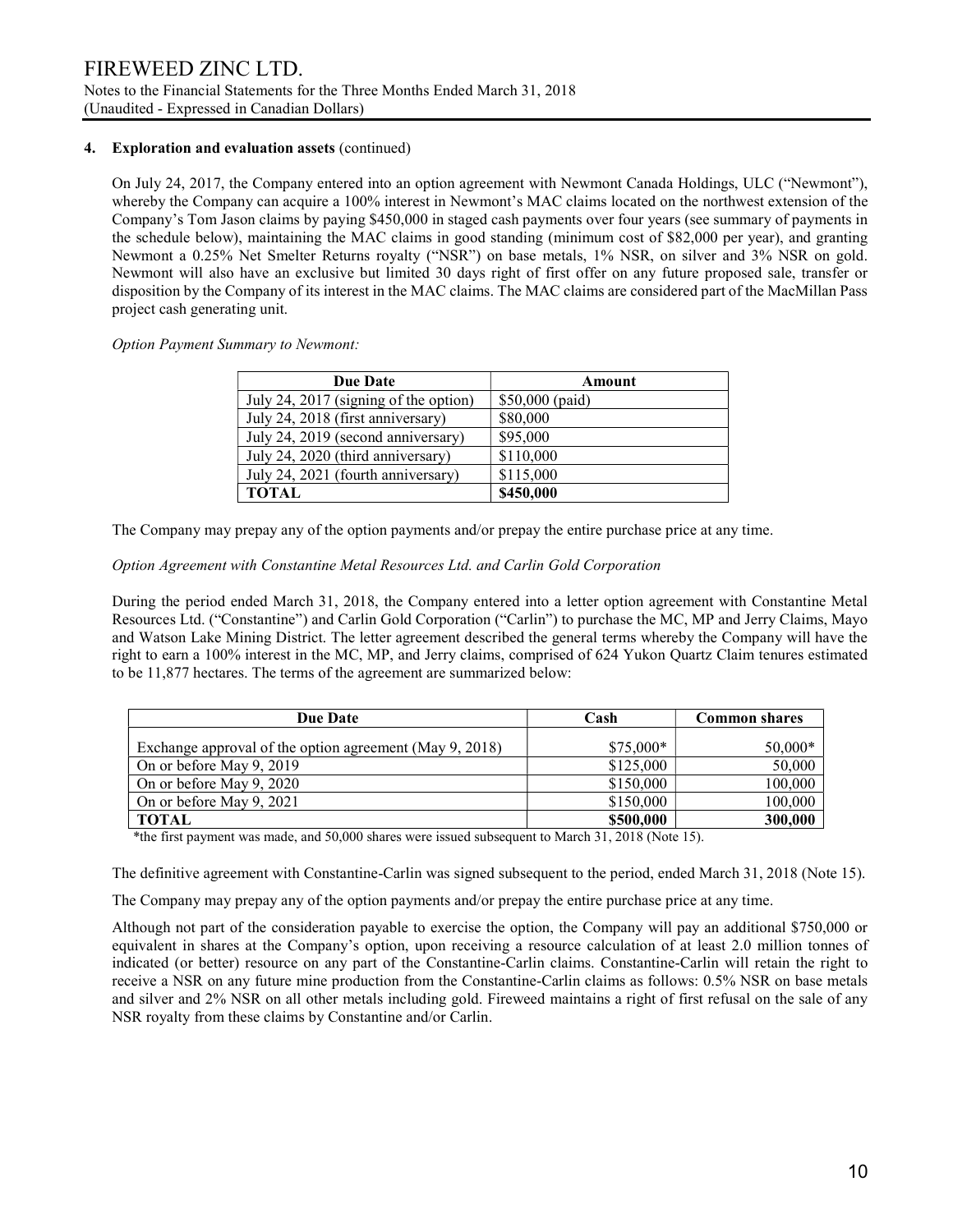## 4. Exploration and evaluation assets (continued)

On July 24, 2017, the Company entered into an option agreement with Newmont Canada Holdings, ULC ("Newmont"), whereby the Company can acquire a 100% interest in Newmont's MAC claims located on the northwest extension of the Company's Tom Jason claims by paying \$450,000 in staged cash payments over four years (see summary of payments in the schedule below), maintaining the MAC claims in good standing (minimum cost of \$82,000 per year), and granting Newmont a 0.25% Net Smelter Returns royalty ("NSR") on base metals, 1% NSR, on silver and 3% NSR on gold. Newmont will also have an exclusive but limited 30 days right of first offer on any future proposed sale, transfer or disposition by the Company of its interest in the MAC claims. The MAC claims are considered part of the MacMillan Pass project cash generating unit.

Option Payment Summary to Newmont:

| <b>Due Date</b>                       | Amount          |
|---------------------------------------|-----------------|
| July 24, 2017 (signing of the option) | \$50,000 (paid) |
| July 24, 2018 (first anniversary)     | \$80,000        |
| July 24, 2019 (second anniversary)    | \$95,000        |
| July 24, 2020 (third anniversary)     | \$110,000       |
| July 24, 2021 (fourth anniversary)    | \$115,000       |
| <b>TOTAL</b>                          | \$450,000       |

The Company may prepay any of the option payments and/or prepay the entire purchase price at any time.

### Option Agreement with Constantine Metal Resources Ltd. and Carlin Gold Corporation

During the period ended March 31, 2018, the Company entered into a letter option agreement with Constantine Metal Resources Ltd. ("Constantine") and Carlin Gold Corporation ("Carlin") to purchase the MC, MP and Jerry Claims, Mayo and Watson Lake Mining District. The letter agreement described the general terms whereby the Company will have the right to earn a 100% interest in the MC, MP, and Jerry claims, comprised of 624 Yukon Quartz Claim tenures estimated to be 11,877 hectares. The terms of the agreement are summarized below:

| <b>Due Date</b>                                         | Cash       | <b>Common shares</b> |  |  |
|---------------------------------------------------------|------------|----------------------|--|--|
| Exchange approval of the option agreement (May 9, 2018) | $$75,000*$ | $50,000*$            |  |  |
| On or before May 9, 2019                                | \$125,000  | 50,000               |  |  |
| On or before May 9, 2020                                | \$150,000  | 100,000              |  |  |
| On or before May 9, 2021                                | \$150,000  | 100,000              |  |  |
| <b>TOTAL</b>                                            | \$500,000  | 300,000              |  |  |

\*the first payment was made, and 50,000 shares were issued subsequent to March 31, 2018 (Note 15).

The definitive agreement with Constantine-Carlin was signed subsequent to the period, ended March 31, 2018 (Note 15).

The Company may prepay any of the option payments and/or prepay the entire purchase price at any time.

Although not part of the consideration payable to exercise the option, the Company will pay an additional \$750,000 or equivalent in shares at the Company's option, upon receiving a resource calculation of at least 2.0 million tonnes of indicated (or better) resource on any part of the Constantine-Carlin claims. Constantine-Carlin will retain the right to receive a NSR on any future mine production from the Constantine-Carlin claims as follows: 0.5% NSR on base metals and silver and 2% NSR on all other metals including gold. Fireweed maintains a right of first refusal on the sale of any NSR royalty from these claims by Constantine and/or Carlin.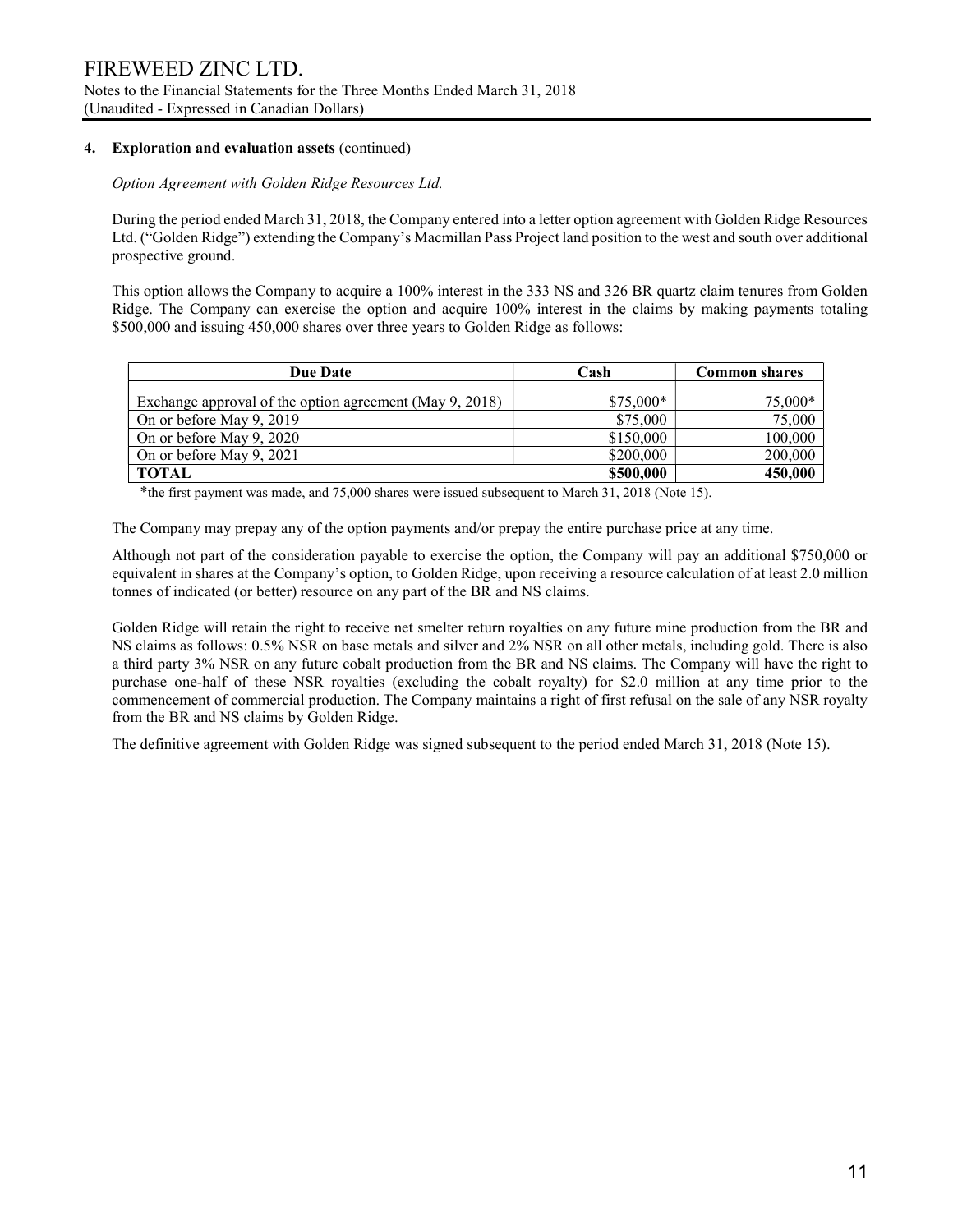## 4. Exploration and evaluation assets (continued)

Option Agreement with Golden Ridge Resources Ltd.

During the period ended March 31, 2018, the Company entered into a letter option agreement with Golden Ridge Resources Ltd. ("Golden Ridge") extending the Company's Macmillan Pass Project land position to the west and south over additional prospective ground.

This option allows the Company to acquire a 100% interest in the 333 NS and 326 BR quartz claim tenures from Golden Ridge. The Company can exercise the option and acquire 100% interest in the claims by making payments totaling \$500,000 and issuing 450,000 shares over three years to Golden Ridge as follows:

| <b>Due Date</b>                                         | Cash       | Common shares |  |  |
|---------------------------------------------------------|------------|---------------|--|--|
| Exchange approval of the option agreement (May 9, 2018) | $$75,000*$ | $75,000*$     |  |  |
| On or before May 9, 2019                                | \$75,000   | 75,000        |  |  |
| On or before May 9, 2020                                | \$150,000  | 100,000       |  |  |
| On or before May 9, 2021                                | \$200,000  | 200,000       |  |  |
| <b>TOTAL</b>                                            | \$500,000  | 450,000       |  |  |

\*the first payment was made, and 75,000 shares were issued subsequent to March 31, 2018 (Note 15).

The Company may prepay any of the option payments and/or prepay the entire purchase price at any time.

Although not part of the consideration payable to exercise the option, the Company will pay an additional \$750,000 or equivalent in shares at the Company's option, to Golden Ridge, upon receiving a resource calculation of at least 2.0 million tonnes of indicated (or better) resource on any part of the BR and NS claims.

Golden Ridge will retain the right to receive net smelter return royalties on any future mine production from the BR and NS claims as follows: 0.5% NSR on base metals and silver and 2% NSR on all other metals, including gold. There is also a third party 3% NSR on any future cobalt production from the BR and NS claims. The Company will have the right to purchase one-half of these NSR royalties (excluding the cobalt royalty) for \$2.0 million at any time prior to the commencement of commercial production. The Company maintains a right of first refusal on the sale of any NSR royalty from the BR and NS claims by Golden Ridge.

The definitive agreement with Golden Ridge was signed subsequent to the period ended March 31, 2018 (Note 15).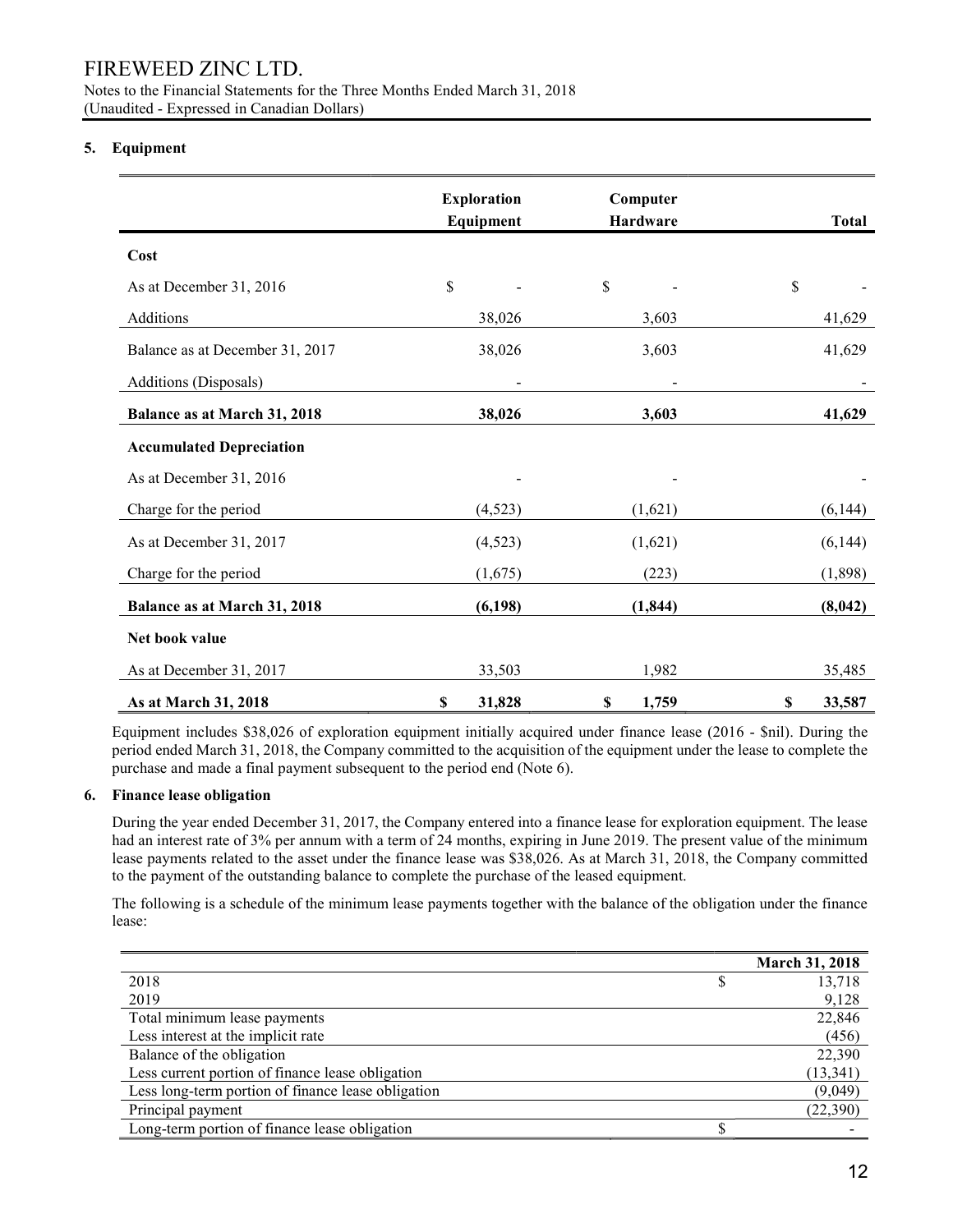Notes to the Financial Statements for the Three Months Ended March 31, 2018 (Unaudited - Expressed in Canadian Dollars)

## 5. Equipment

|                                     | <b>Exploration</b><br>Equipment |          |             | Computer<br>Hardware | <b>Total</b> |
|-------------------------------------|---------------------------------|----------|-------------|----------------------|--------------|
| Cost                                |                                 |          |             |                      |              |
| As at December 31, 2016             | \$                              |          | \$          |                      | \$           |
| Additions                           |                                 | 38,026   |             | 3,603                | 41,629       |
| Balance as at December 31, 2017     |                                 | 38,026   |             | 3,603                | 41,629       |
| Additions (Disposals)               |                                 |          |             |                      |              |
| <b>Balance as at March 31, 2018</b> |                                 | 38,026   |             | 3,603                | 41,629       |
| <b>Accumulated Depreciation</b>     |                                 |          |             |                      |              |
| As at December 31, 2016             |                                 |          |             |                      |              |
| Charge for the period               |                                 | (4,523)  |             | (1,621)              | (6,144)      |
| As at December 31, 2017             |                                 | (4,523)  |             | (1,621)              | (6,144)      |
| Charge for the period               |                                 | (1,675)  |             | (223)                | (1,898)      |
| <b>Balance as at March 31, 2018</b> |                                 | (6, 198) |             | (1, 844)             | (8,042)      |
| Net book value                      |                                 |          |             |                      |              |
| As at December 31, 2017             |                                 | 33,503   |             | 1,982                | 35,485       |
| As at March 31, 2018                | $\boldsymbol{\mathsf{S}}$       | 31,828   | $\mathbb S$ | 1,759                | \$<br>33,587 |

Equipment includes \$38,026 of exploration equipment initially acquired under finance lease (2016 - \$nil). During the period ended March 31, 2018, the Company committed to the acquisition of the equipment under the lease to complete the purchase and made a final payment subsequent to the period end (Note 6).

### 6. Finance lease obligation

During the year ended December 31, 2017, the Company entered into a finance lease for exploration equipment. The lease had an interest rate of 3% per annum with a term of 24 months, expiring in June 2019. The present value of the minimum lease payments related to the asset under the finance lease was \$38,026. As at March 31, 2018, the Company committed to the payment of the outstanding balance to complete the purchase of the leased equipment.

The following is a schedule of the minimum lease payments together with the balance of the obligation under the finance lease:

|                                                    | March 31, 2018 |
|----------------------------------------------------|----------------|
| 2018                                               | 13,718         |
| 2019                                               | 9,128          |
| Total minimum lease payments                       | 22,846         |
| Less interest at the implicit rate                 | (456)          |
| Balance of the obligation                          | 22,390         |
| Less current portion of finance lease obligation   | (13, 341)      |
| Less long-term portion of finance lease obligation | (9,049)        |
| Principal payment                                  | (22,390)       |
| Long-term portion of finance lease obligation      |                |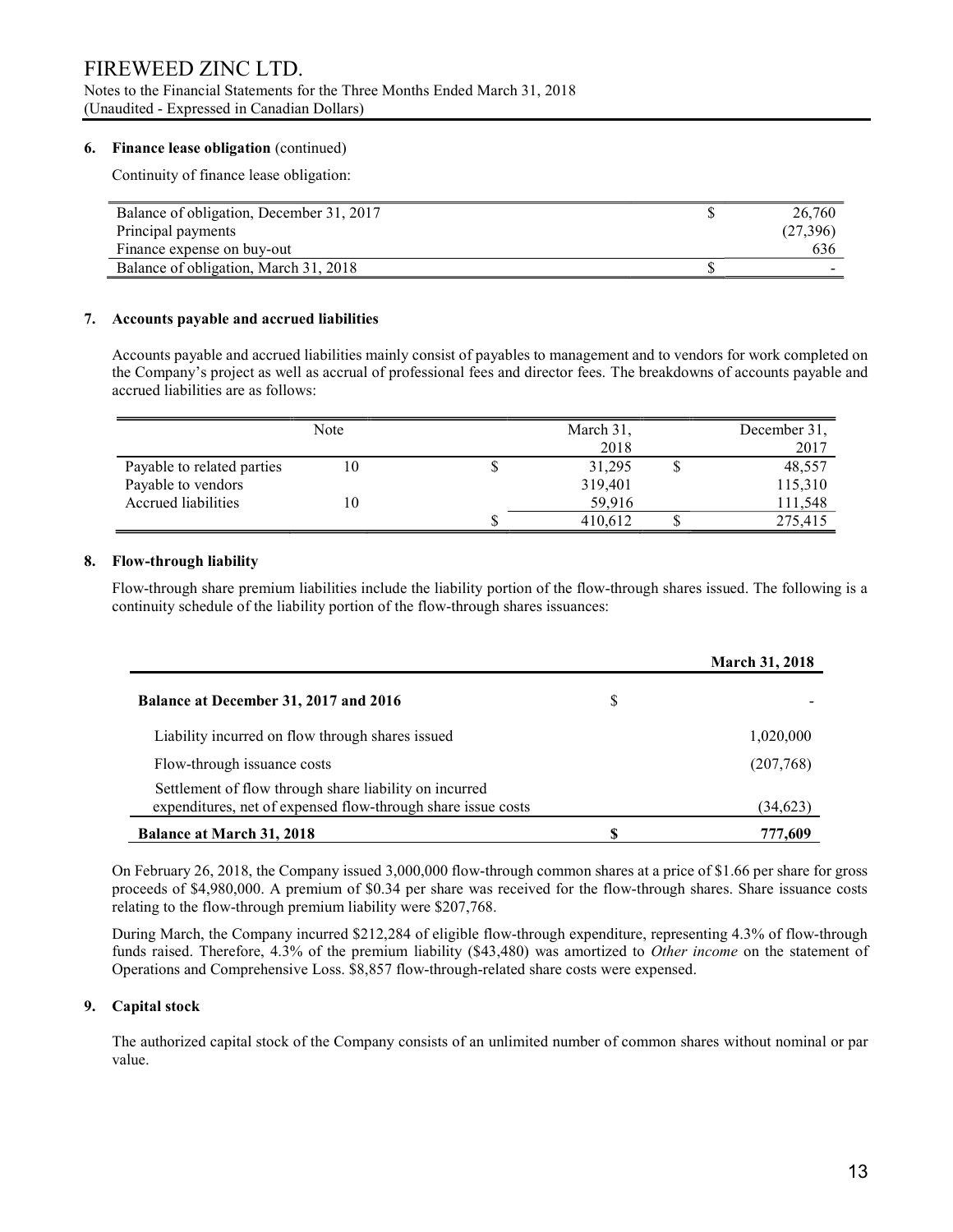## FIREWEED ZINC LTD. Notes to the Financial Statements for the Three Months Ended March 31, 2018 (Unaudited - Expressed in Canadian Dollars)

### 6. Finance lease obligation (continued)

Continuity of finance lease obligation:

| Balance of obligation, December 31, 2017 | 26,760   |
|------------------------------------------|----------|
| Principal payments                       | (27,396) |
| Finance expense on buy-out               | 636      |
| Balance of obligation, March 31, 2018    |          |

#### 7. Accounts payable and accrued liabilities

 Accounts payable and accrued liabilities mainly consist of payables to management and to vendors for work completed on the Company's project as well as accrual of professional fees and director fees. The breakdowns of accounts payable and accrued liabilities are as follows:

|                                           | Note | March 31,<br>2018 | December 31,<br>2017 |
|-------------------------------------------|------|-------------------|----------------------|
| Payable to related parties                | 10   | 31,295            | 48,557               |
| Payable to vendors<br>Accrued liabilities | 10   | 319,401<br>59.916 | 115,310<br>111,548   |
|                                           |      | 410,612           | 275,415              |

#### 8. Flow-through liability

Flow-through share premium liabilities include the liability portion of the flow-through shares issued. The following is a continuity schedule of the liability portion of the flow-through shares issuances:

|                                                                                                                        |   | <b>March 31, 2018</b> |
|------------------------------------------------------------------------------------------------------------------------|---|-----------------------|
| Balance at December 31, 2017 and 2016                                                                                  | S |                       |
| Liability incurred on flow through shares issued                                                                       |   | 1,020,000             |
| Flow-through issuance costs                                                                                            |   | (207,768)             |
| Settlement of flow through share liability on incurred<br>expenditures, net of expensed flow-through share issue costs |   | (34, 623)             |
| <b>Balance at March 31, 2018</b>                                                                                       |   | 777,609               |

On February 26, 2018, the Company issued 3,000,000 flow-through common shares at a price of \$1.66 per share for gross proceeds of \$4,980,000. A premium of \$0.34 per share was received for the flow-through shares. Share issuance costs relating to the flow-through premium liability were \$207,768.

During March, the Company incurred \$212,284 of eligible flow-through expenditure, representing 4.3% of flow-through funds raised. Therefore, 4.3% of the premium liability (\$43,480) was amortized to Other income on the statement of Operations and Comprehensive Loss. \$8,857 flow-through-related share costs were expensed.

#### 9. Capital stock

The authorized capital stock of the Company consists of an unlimited number of common shares without nominal or par value.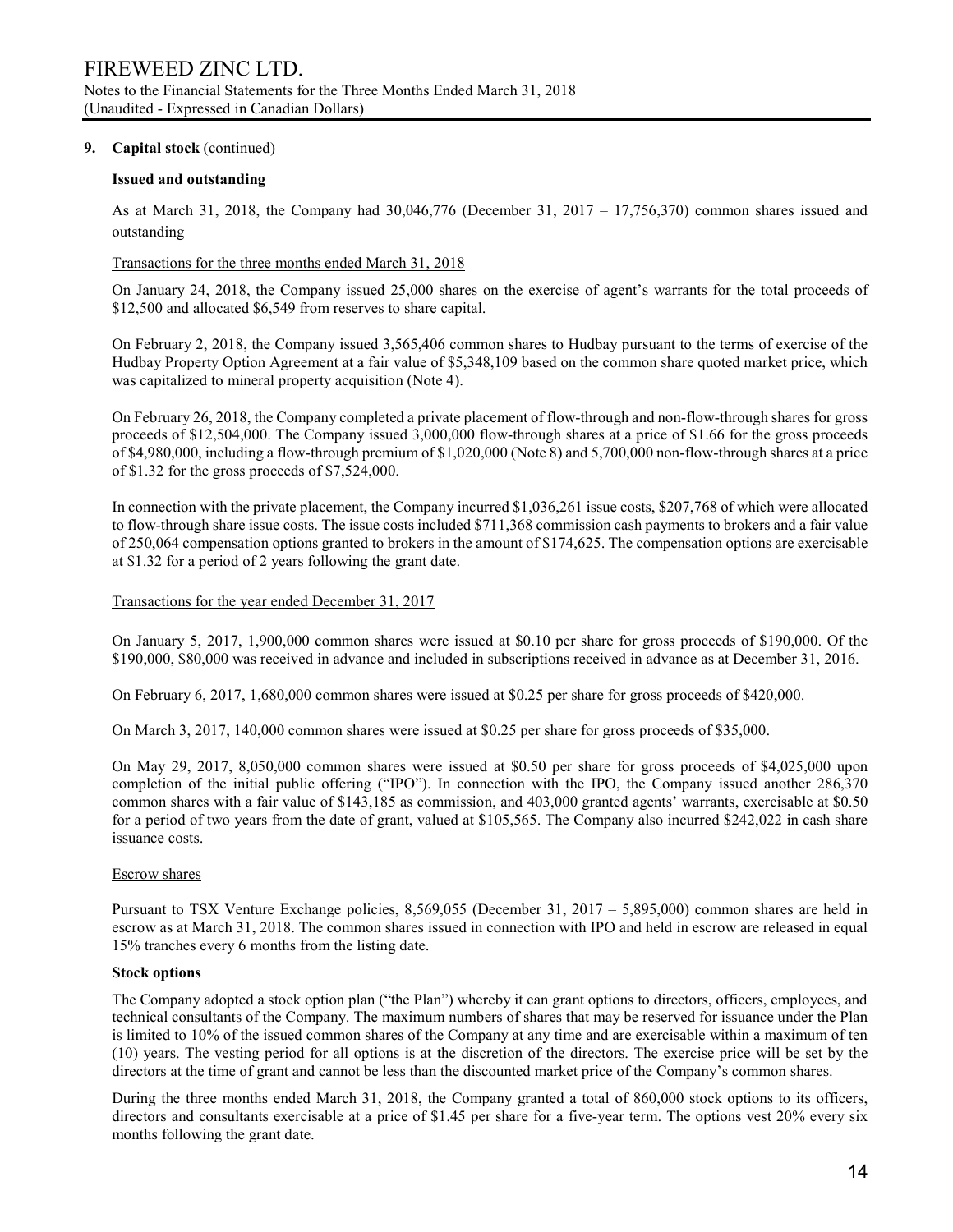#### 9. Capital stock (continued)

#### Issued and outstanding

As at March 31, 2018, the Company had 30,046,776 (December 31, 2017 – 17,756,370) common shares issued and outstanding

#### Transactions for the three months ended March 31, 2018

On January 24, 2018, the Company issued 25,000 shares on the exercise of agent's warrants for the total proceeds of \$12,500 and allocated \$6,549 from reserves to share capital.

On February 2, 2018, the Company issued 3,565,406 common shares to Hudbay pursuant to the terms of exercise of the Hudbay Property Option Agreement at a fair value of \$5,348,109 based on the common share quoted market price, which was capitalized to mineral property acquisition (Note 4).

On February 26, 2018, the Company completed a private placement of flow-through and non-flow-through shares for gross proceeds of \$12,504,000. The Company issued 3,000,000 flow-through shares at a price of \$1.66 for the gross proceeds of \$4,980,000, including a flow-through premium of \$1,020,000 (Note 8) and 5,700,000 non-flow-through shares at a price of \$1.32 for the gross proceeds of \$7,524,000.

In connection with the private placement, the Company incurred \$1,036,261 issue costs, \$207,768 of which were allocated to flow-through share issue costs. The issue costs included \$711,368 commission cash payments to brokers and a fair value of 250,064 compensation options granted to brokers in the amount of \$174,625. The compensation options are exercisable at \$1.32 for a period of 2 years following the grant date.

#### Transactions for the year ended December 31, 2017

On January 5, 2017, 1,900,000 common shares were issued at \$0.10 per share for gross proceeds of \$190,000. Of the \$190,000, \$80,000 was received in advance and included in subscriptions received in advance as at December 31, 2016.

On February 6, 2017, 1,680,000 common shares were issued at \$0.25 per share for gross proceeds of \$420,000.

On March 3, 2017, 140,000 common shares were issued at \$0.25 per share for gross proceeds of \$35,000.

On May 29, 2017, 8,050,000 common shares were issued at \$0.50 per share for gross proceeds of \$4,025,000 upon completion of the initial public offering ("IPO"). In connection with the IPO, the Company issued another 286,370 common shares with a fair value of \$143,185 as commission, and 403,000 granted agents' warrants, exercisable at \$0.50 for a period of two years from the date of grant, valued at \$105,565. The Company also incurred \$242,022 in cash share issuance costs.

### Escrow shares

Pursuant to TSX Venture Exchange policies, 8,569,055 (December 31, 2017 – 5,895,000) common shares are held in escrow as at March 31, 2018. The common shares issued in connection with IPO and held in escrow are released in equal 15% tranches every 6 months from the listing date.

#### Stock options

The Company adopted a stock option plan ("the Plan") whereby it can grant options to directors, officers, employees, and technical consultants of the Company. The maximum numbers of shares that may be reserved for issuance under the Plan is limited to 10% of the issued common shares of the Company at any time and are exercisable within a maximum of ten (10) years. The vesting period for all options is at the discretion of the directors. The exercise price will be set by the directors at the time of grant and cannot be less than the discounted market price of the Company's common shares.

During the three months ended March 31, 2018, the Company granted a total of 860,000 stock options to its officers, directors and consultants exercisable at a price of \$1.45 per share for a five-year term. The options vest 20% every six months following the grant date.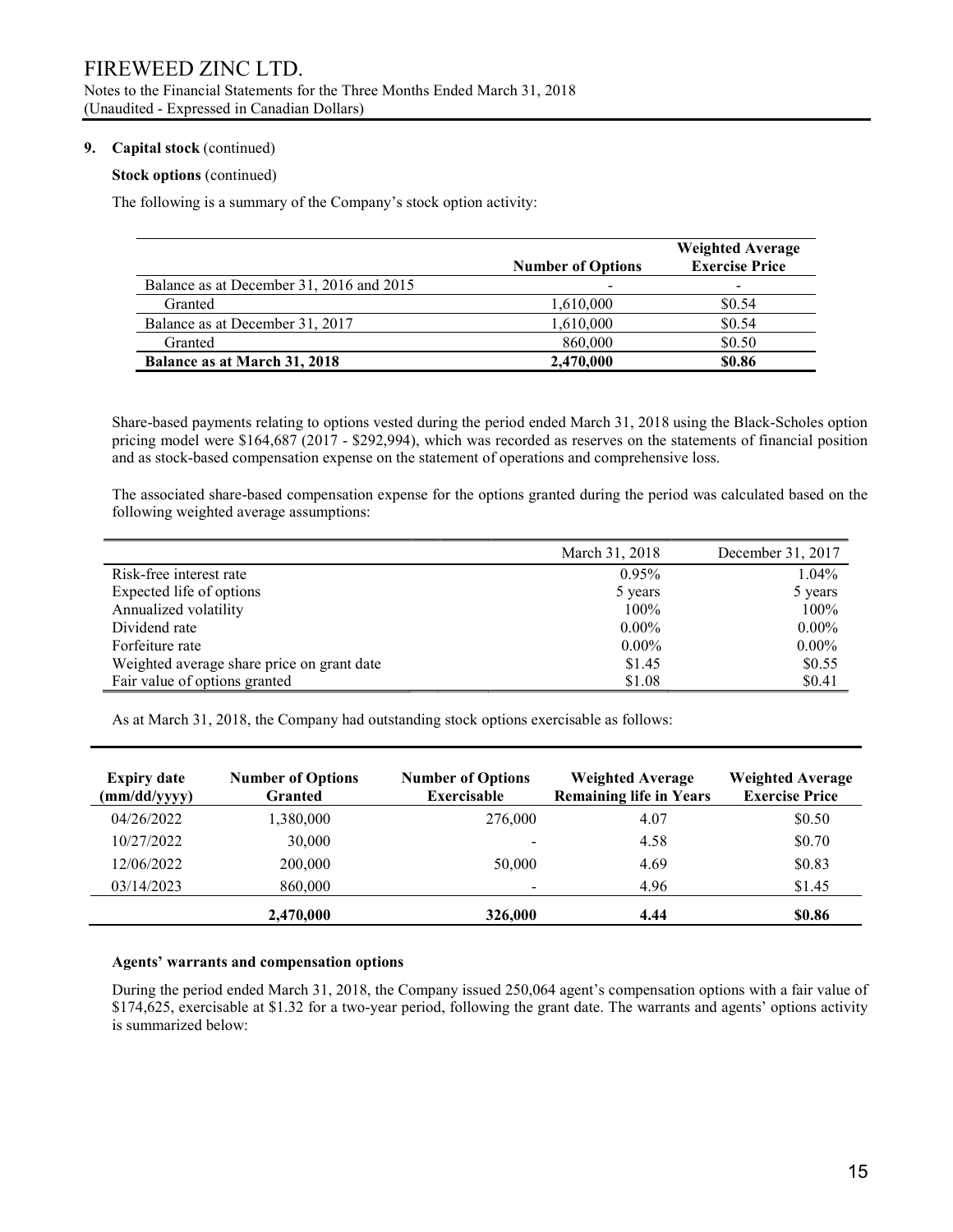#### 9. Capital stock (continued)

#### Stock options (continued)

The following is a summary of the Company's stock option activity:

|                                          | <b>Number of Options</b> | <b>Weighted Average</b><br><b>Exercise Price</b> |
|------------------------------------------|--------------------------|--------------------------------------------------|
| Balance as at December 31, 2016 and 2015 |                          |                                                  |
| Granted                                  | 1,610,000                | \$0.54                                           |
| Balance as at December 31, 2017          | 1,610,000                | \$0.54                                           |
| Granted                                  | 860,000                  | \$0.50                                           |
| <b>Balance as at March 31, 2018</b>      | 2,470,000                | \$0.86                                           |

Share-based payments relating to options vested during the period ended March 31, 2018 using the Black-Scholes option pricing model were \$164,687 (2017 - \$292,994), which was recorded as reserves on the statements of financial position and as stock-based compensation expense on the statement of operations and comprehensive loss.

The associated share-based compensation expense for the options granted during the period was calculated based on the following weighted average assumptions:

|                                            | March 31, 2018 | December 31, 2017 |
|--------------------------------------------|----------------|-------------------|
| Risk-free interest rate                    | 0.95%          | $1.04\%$          |
| Expected life of options                   | 5 years        | 5 years           |
| Annualized volatility                      | 100%           | 100%              |
| Dividend rate                              | $0.00\%$       | $0.00\%$          |
| Forfeiture rate                            | $0.00\%$       | $0.00\%$          |
| Weighted average share price on grant date | \$1.45         | \$0.55            |
| Fair value of options granted              | \$1.08         | \$0.41            |

As at March 31, 2018, the Company had outstanding stock options exercisable as follows:

| <b>Expiry date</b><br>(mm/dd/yyyy) | <b>Number of Options</b><br><b>Granted</b> | <b>Number of Options</b><br><b>Exercisable</b> | <b>Weighted Average</b><br><b>Remaining life in Years</b> | <b>Weighted Average</b><br><b>Exercise Price</b> |
|------------------------------------|--------------------------------------------|------------------------------------------------|-----------------------------------------------------------|--------------------------------------------------|
| 04/26/2022                         | 1,380,000                                  | 276,000                                        | 4.07                                                      | \$0.50                                           |
| 10/27/2022                         | 30,000                                     |                                                | 4.58                                                      | \$0.70                                           |
| 12/06/2022                         | 200,000                                    | 50,000                                         | 4.69                                                      | \$0.83                                           |
| 03/14/2023                         | 860,000                                    |                                                | 4.96                                                      | \$1.45                                           |
|                                    | 2,470,000                                  | 326,000                                        | 4.44                                                      | \$0.86                                           |

#### Agents' warrants and compensation options

During the period ended March 31, 2018, the Company issued 250,064 agent's compensation options with a fair value of \$174,625, exercisable at \$1.32 for a two-year period, following the grant date. The warrants and agents' options activity is summarized below: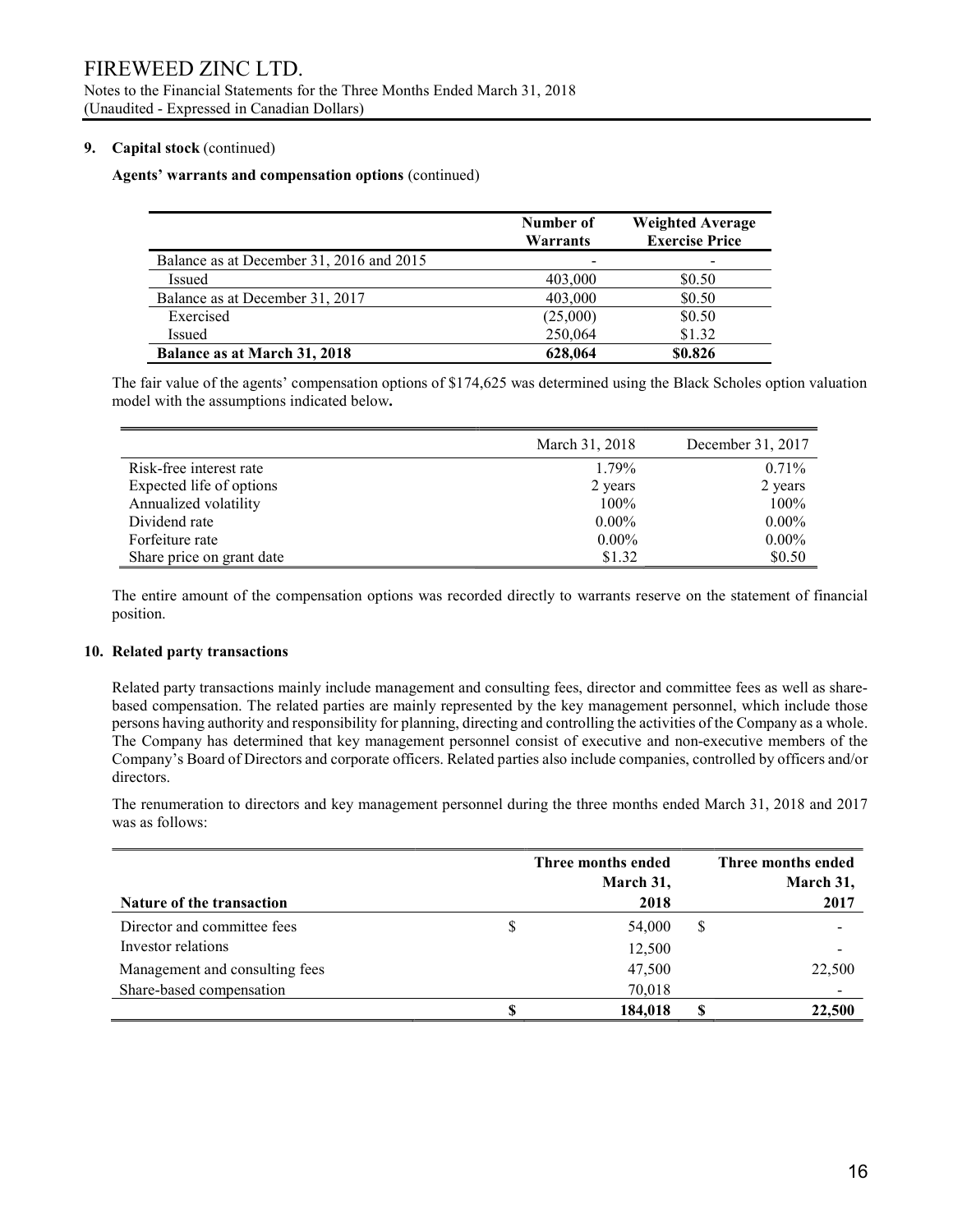#### 9. Capital stock (continued)

#### Agents' warrants and compensation options (continued)

|                                          | Number of<br>Warrants | <b>Weighted Average</b><br><b>Exercise Price</b> |
|------------------------------------------|-----------------------|--------------------------------------------------|
| Balance as at December 31, 2016 and 2015 | -                     |                                                  |
| Issued                                   | 403,000               | \$0.50                                           |
| Balance as at December 31, 2017          | 403,000               | \$0.50                                           |
| Exercised                                | (25,000)              | \$0.50                                           |
| <b>Issued</b>                            | 250,064               | \$1.32                                           |
| Balance as at March 31, 2018             | 628,064               | \$0.826                                          |

The fair value of the agents' compensation options of \$174,625 was determined using the Black Scholes option valuation model with the assumptions indicated below.

|                           | March 31, 2018 | December 31, 2017 |
|---------------------------|----------------|-------------------|
| Risk-free interest rate   | 1.79%          | 0.71%             |
| Expected life of options  | 2 years        | 2 years           |
| Annualized volatility     | 100%           | 100%              |
| Dividend rate             | $0.00\%$       | $0.00\%$          |
| Forfeiture rate           | $0.00\%$       | $0.00\%$          |
| Share price on grant date | \$1.32         | \$0.50            |

The entire amount of the compensation options was recorded directly to warrants reserve on the statement of financial position.

#### 10. Related party transactions

Related party transactions mainly include management and consulting fees, director and committee fees as well as sharebased compensation. The related parties are mainly represented by the key management personnel, which include those persons having authority and responsibility for planning, directing and controlling the activities of the Company as a whole. The Company has determined that key management personnel consist of executive and non-executive members of the Company's Board of Directors and corporate officers. Related parties also include companies, controlled by officers and/or directors.

The renumeration to directors and key management personnel during the three months ended March 31, 2018 and 2017 was as follows:

| Nature of the transaction      | Three months ended<br>March 31,<br>2018 |   | Three months ended<br>March 31,<br>2017 |
|--------------------------------|-----------------------------------------|---|-----------------------------------------|
| Director and committee fees    | \$<br>54,000                            | S |                                         |
| Investor relations             | 12,500                                  |   |                                         |
| Management and consulting fees | 47,500                                  |   | 22,500                                  |
| Share-based compensation       | 70,018                                  |   |                                         |
|                                | 184,018                                 | S | 22,500                                  |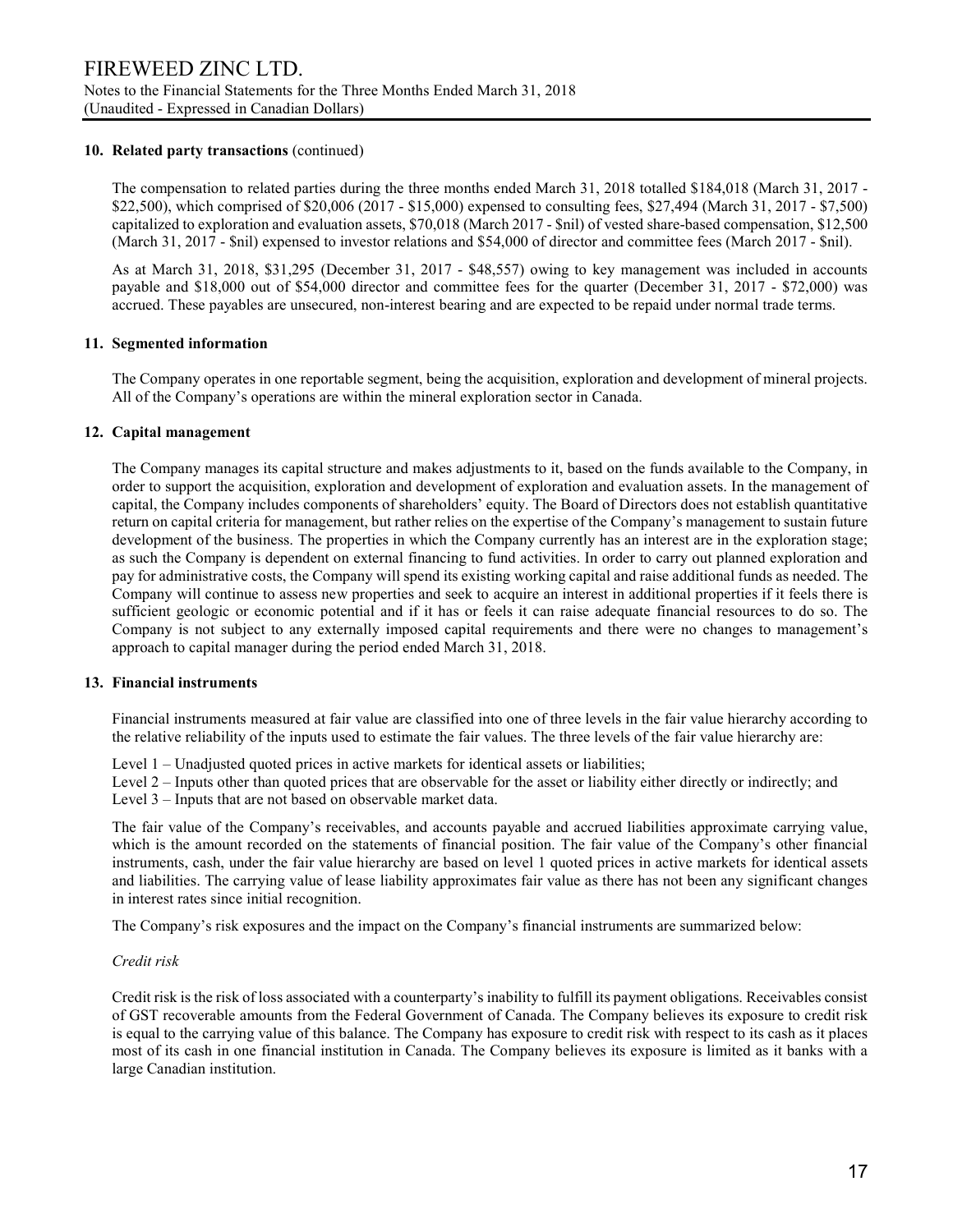#### 10. Related party transactions (continued)

The compensation to related parties during the three months ended March 31, 2018 totalled \$184,018 (March 31, 2017 - \$22,500), which comprised of \$20,006 (2017 - \$15,000) expensed to consulting fees, \$27,494 (March 31, 2017 - \$7,500) capitalized to exploration and evaluation assets, \$70,018 (March 2017 - \$nil) of vested share-based compensation, \$12,500 (March 31, 2017 - \$nil) expensed to investor relations and \$54,000 of director and committee fees (March 2017 - \$nil).

As at March 31, 2018, \$31,295 (December 31, 2017 - \$48,557) owing to key management was included in accounts payable and \$18,000 out of \$54,000 director and committee fees for the quarter (December 31, 2017 - \$72,000) was accrued. These payables are unsecured, non-interest bearing and are expected to be repaid under normal trade terms.

#### 11. Segmented information

 The Company operates in one reportable segment, being the acquisition, exploration and development of mineral projects. All of the Company's operations are within the mineral exploration sector in Canada.

#### 12. Capital management

The Company manages its capital structure and makes adjustments to it, based on the funds available to the Company, in order to support the acquisition, exploration and development of exploration and evaluation assets. In the management of capital, the Company includes components of shareholders' equity. The Board of Directors does not establish quantitative return on capital criteria for management, but rather relies on the expertise of the Company's management to sustain future development of the business. The properties in which the Company currently has an interest are in the exploration stage; as such the Company is dependent on external financing to fund activities. In order to carry out planned exploration and pay for administrative costs, the Company will spend its existing working capital and raise additional funds as needed. The Company will continue to assess new properties and seek to acquire an interest in additional properties if it feels there is sufficient geologic or economic potential and if it has or feels it can raise adequate financial resources to do so. The Company is not subject to any externally imposed capital requirements and there were no changes to management's approach to capital manager during the period ended March 31, 2018.

#### 13. Financial instruments

Financial instruments measured at fair value are classified into one of three levels in the fair value hierarchy according to the relative reliability of the inputs used to estimate the fair values. The three levels of the fair value hierarchy are:

Level 1 – Unadjusted quoted prices in active markets for identical assets or liabilities;

Level 2 – Inputs other than quoted prices that are observable for the asset or liability either directly or indirectly; and Level 3 – Inputs that are not based on observable market data.

The fair value of the Company's receivables, and accounts payable and accrued liabilities approximate carrying value, which is the amount recorded on the statements of financial position. The fair value of the Company's other financial instruments, cash, under the fair value hierarchy are based on level 1 quoted prices in active markets for identical assets and liabilities. The carrying value of lease liability approximates fair value as there has not been any significant changes in interest rates since initial recognition.

The Company's risk exposures and the impact on the Company's financial instruments are summarized below:

#### Credit risk

Credit risk is the risk of loss associated with a counterparty's inability to fulfill its payment obligations. Receivables consist of GST recoverable amounts from the Federal Government of Canada. The Company believes its exposure to credit risk is equal to the carrying value of this balance. The Company has exposure to credit risk with respect to its cash as it places most of its cash in one financial institution in Canada. The Company believes its exposure is limited as it banks with a large Canadian institution.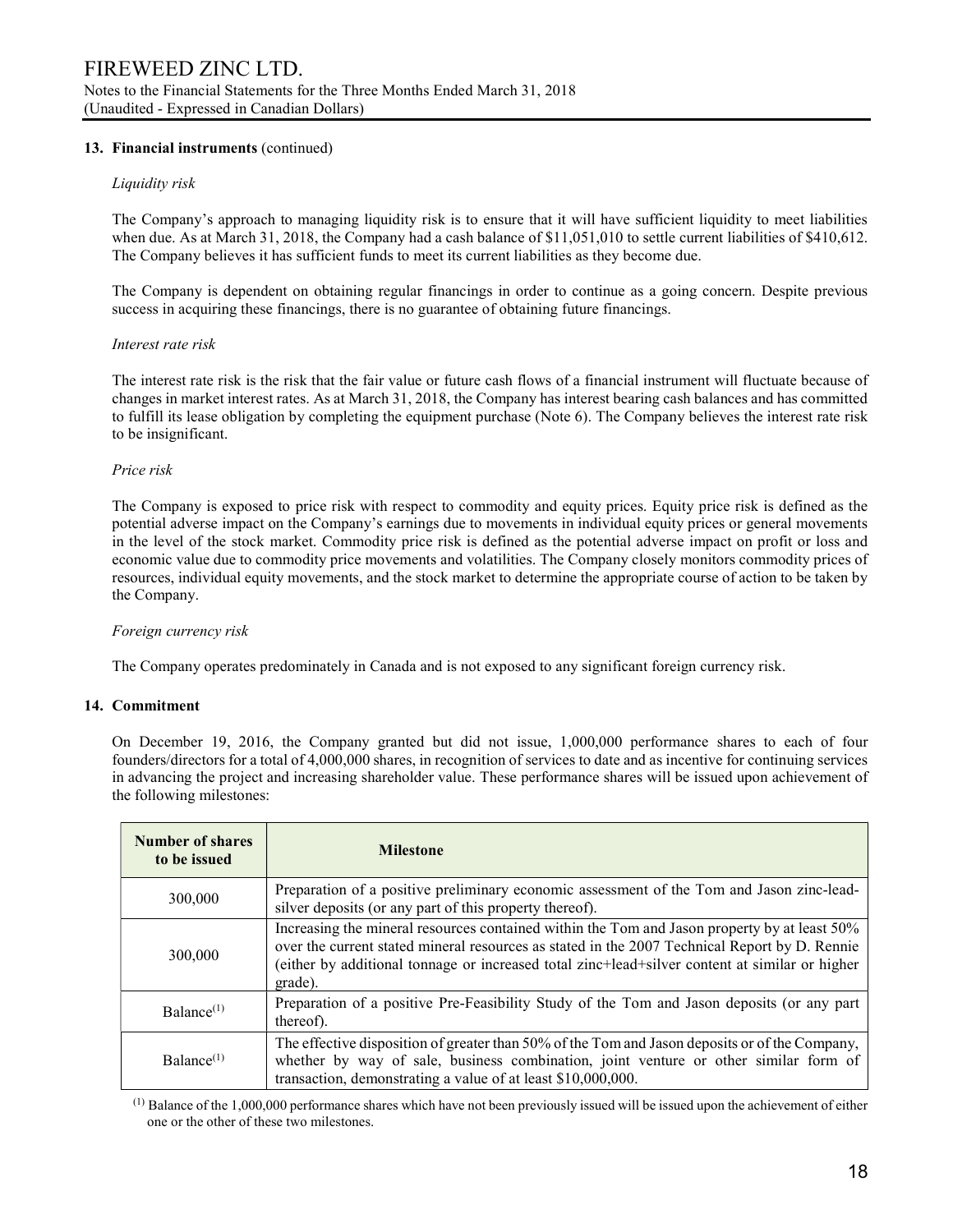### 13. Financial instruments (continued)

#### Liquidity risk

The Company's approach to managing liquidity risk is to ensure that it will have sufficient liquidity to meet liabilities when due. As at March 31, 2018, the Company had a cash balance of \$11,051,010 to settle current liabilities of \$410,612. The Company believes it has sufficient funds to meet its current liabilities as they become due.

The Company is dependent on obtaining regular financings in order to continue as a going concern. Despite previous success in acquiring these financings, there is no guarantee of obtaining future financings.

#### Interest rate risk

The interest rate risk is the risk that the fair value or future cash flows of a financial instrument will fluctuate because of changes in market interest rates. As at March 31, 2018, the Company has interest bearing cash balances and has committed to fulfill its lease obligation by completing the equipment purchase (Note 6). The Company believes the interest rate risk to be insignificant.

#### Price risk

The Company is exposed to price risk with respect to commodity and equity prices. Equity price risk is defined as the potential adverse impact on the Company's earnings due to movements in individual equity prices or general movements in the level of the stock market. Commodity price risk is defined as the potential adverse impact on profit or loss and economic value due to commodity price movements and volatilities. The Company closely monitors commodity prices of resources, individual equity movements, and the stock market to determine the appropriate course of action to be taken by the Company.

#### Foreign currency risk

The Company operates predominately in Canada and is not exposed to any significant foreign currency risk.

#### 14. Commitment

On December 19, 2016, the Company granted but did not issue, 1,000,000 performance shares to each of four founders/directors for a total of 4,000,000 shares, in recognition of services to date and as incentive for continuing services in advancing the project and increasing shareholder value. These performance shares will be issued upon achievement of the following milestones:

| <b>Number of shares</b><br>to be issued | <b>Milestone</b>                                                                                                                                                                                                                                                                                           |
|-----------------------------------------|------------------------------------------------------------------------------------------------------------------------------------------------------------------------------------------------------------------------------------------------------------------------------------------------------------|
| 300,000                                 | Preparation of a positive preliminary economic assessment of the Tom and Jason zinc-lead-<br>silver deposits (or any part of this property thereof).                                                                                                                                                       |
| 300,000                                 | Increasing the mineral resources contained within the Tom and Jason property by at least 50%<br>over the current stated mineral resources as stated in the 2007 Technical Report by D. Rennie<br>(either by additional tonnage or increased total zinc+lead+silver content at similar or higher<br>grade). |
| Balance <sup>(1)</sup>                  | Preparation of a positive Pre-Feasibility Study of the Tom and Jason deposits (or any part<br>thereof).                                                                                                                                                                                                    |
| Balance <sup>(1)</sup>                  | The effective disposition of greater than 50% of the Tom and Jason deposits or of the Company,<br>whether by way of sale, business combination, joint venture or other similar form of<br>transaction, demonstrating a value of at least \$10,000,000.                                                     |

 $<sup>(1)</sup>$  Balance of the 1,000,000 performance shares which have not been previously issued will be issued upon the achievement of either</sup> one or the other of these two milestones.